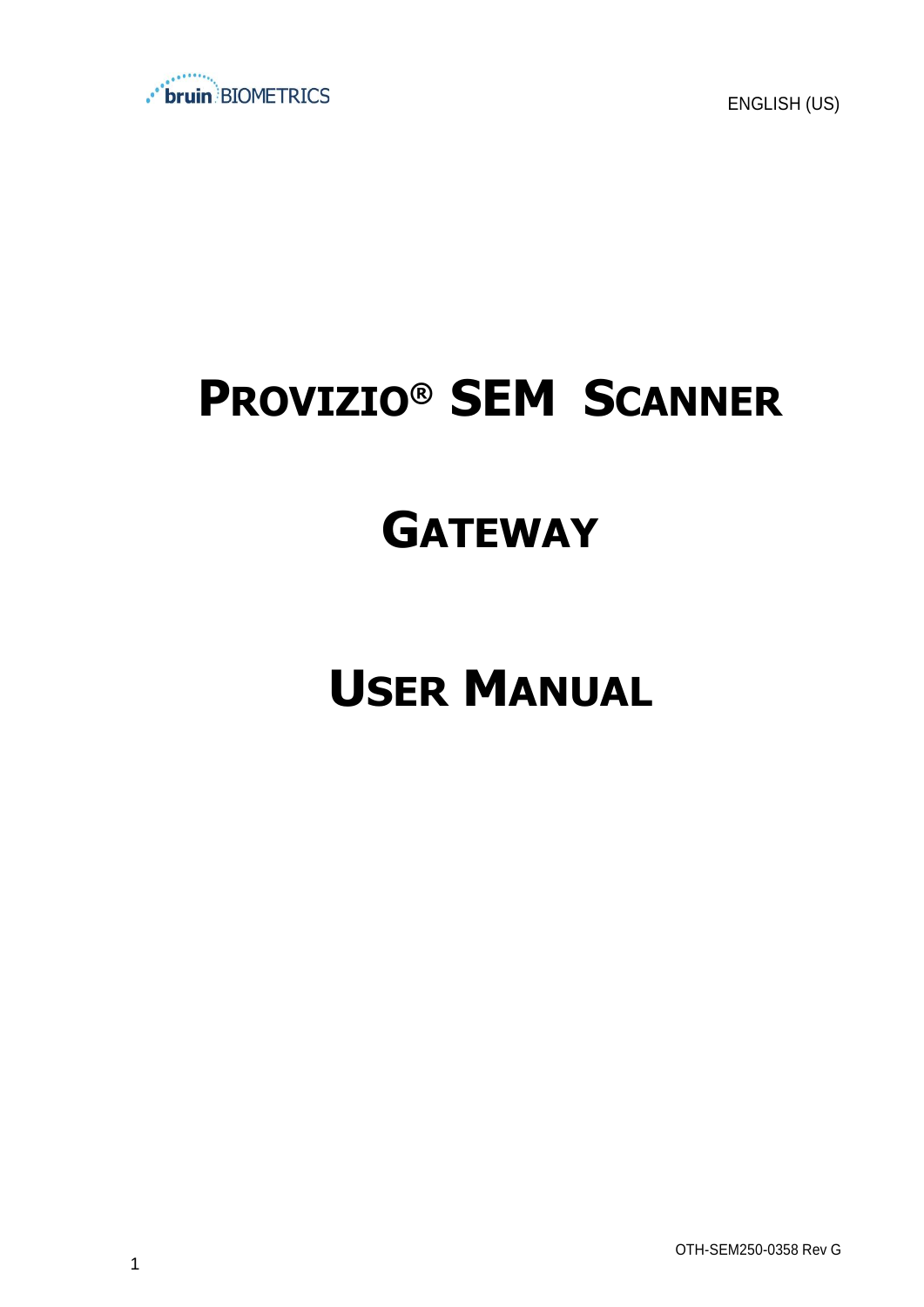

ENGLISH (US)

# **PROVIZIO® SEM SCANNER**

# **GATEWAY**

# **USER MANUAL**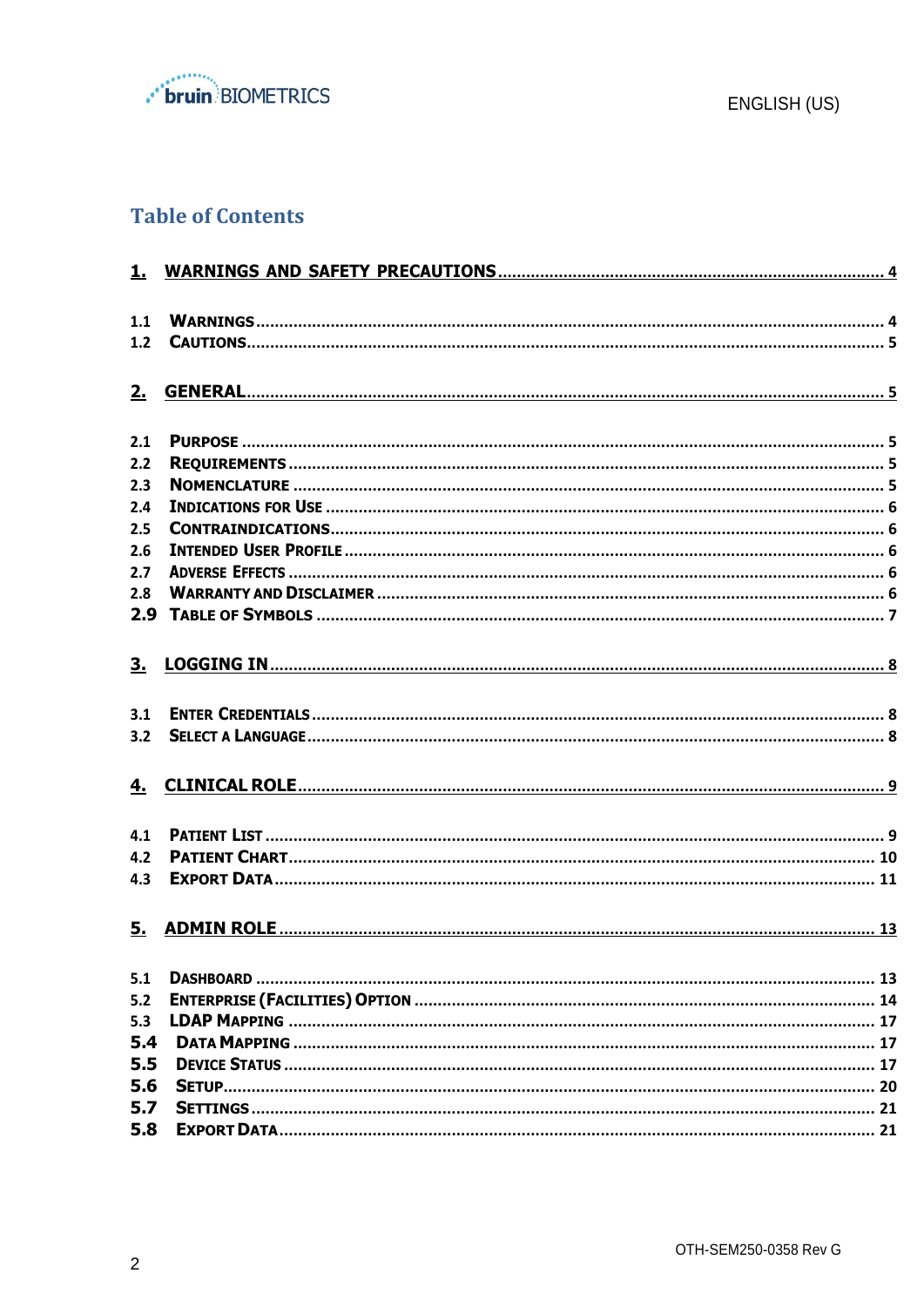

## **Table of Contents**

| 1.1 |  |
|-----|--|
| 1.2 |  |
|     |  |
| 2.  |  |
|     |  |
| 2.1 |  |
| 2.2 |  |
| 2.3 |  |
| 2.4 |  |
| 2.5 |  |
| 2.6 |  |
| 2.7 |  |
| 2.8 |  |
| 2.9 |  |
|     |  |
| 3.  |  |
|     |  |
| 3.1 |  |
| 3.2 |  |
|     |  |
| 4.  |  |
|     |  |
| 4.1 |  |
| 4.2 |  |
| 4.3 |  |
|     |  |
| 5.  |  |
|     |  |
| 5.1 |  |
| 5.2 |  |
| 5.3 |  |
| 5.4 |  |
| 5.5 |  |
| 5.6 |  |
| 5.7 |  |
| 5.8 |  |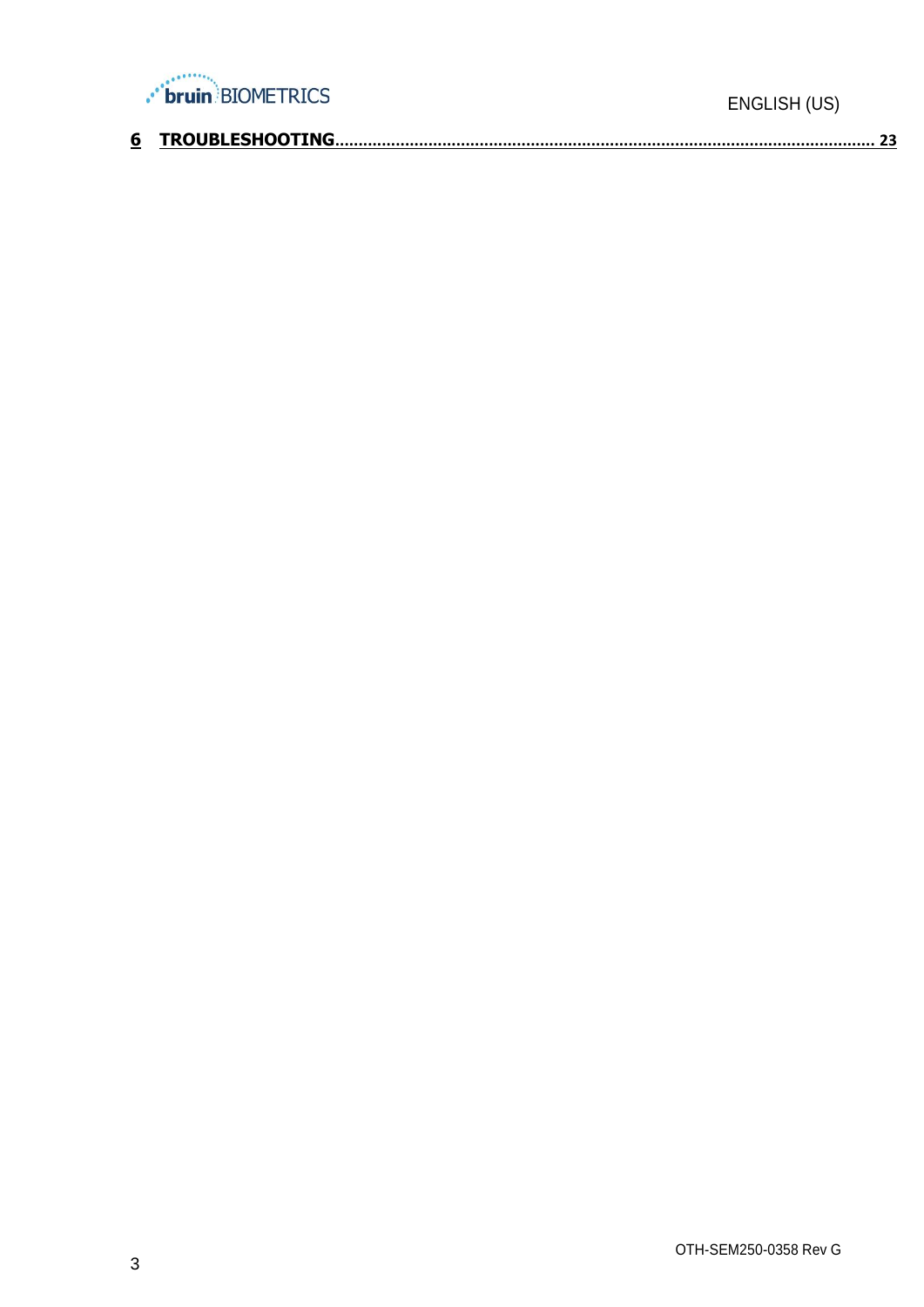

| __ |  |  |
|----|--|--|
|    |  |  |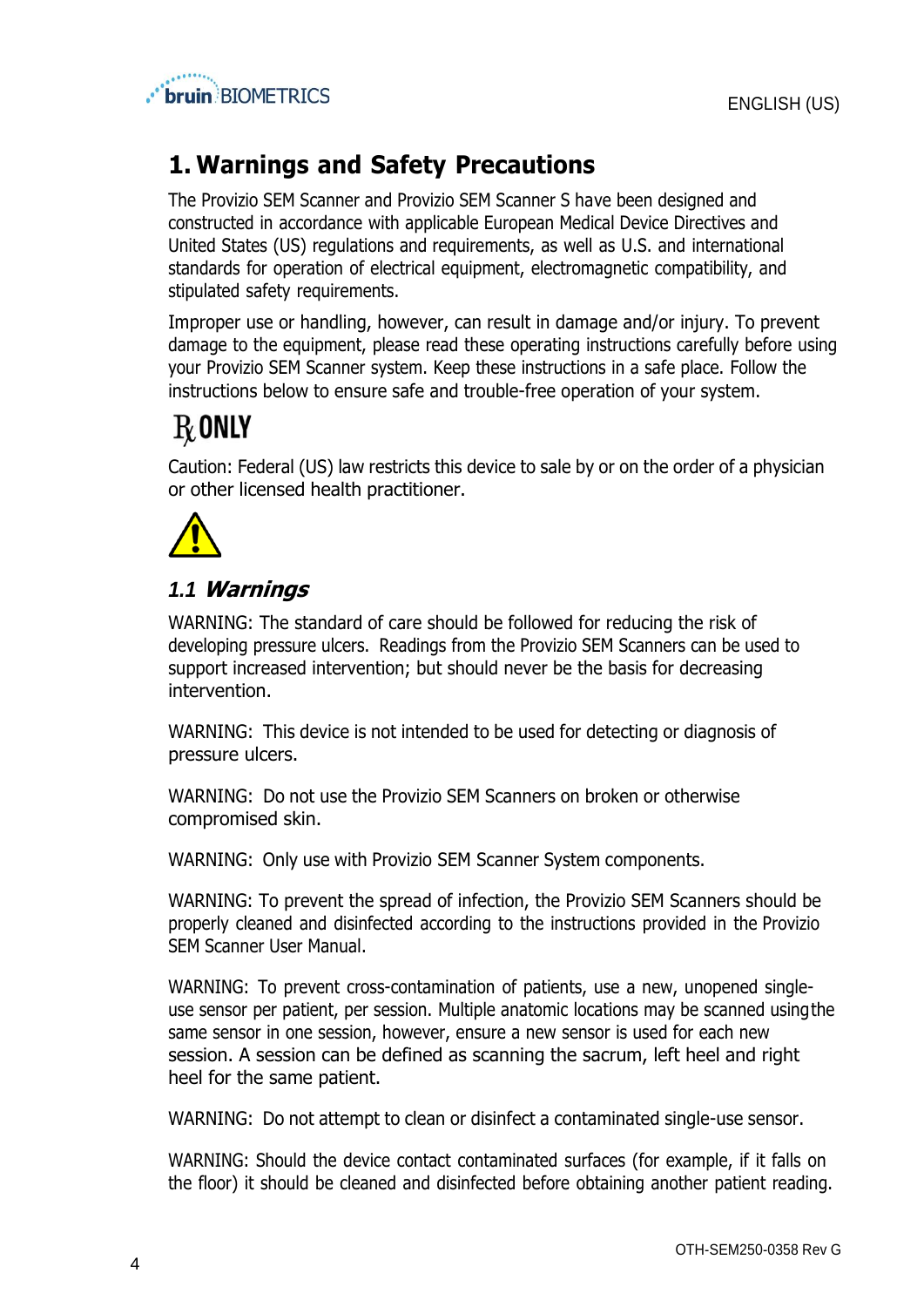

# <span id="page-3-0"></span>**1. Warnings and Safety Precautions**

The Provizio SEM Scanner and Provizio SEM Scanner S have been designed and constructed in accordance with applicable European Medical Device Directives and United States (US) regulations and requirements, as well as U.S. and international standards for operation of electrical equipment, electromagnetic compatibility, and stipulated safety requirements.

Improper use or handling, however, can result in damage and/or injury. To prevent damage to the equipment, please read these operating instructions carefully before using your Provizio SEM Scanner system. Keep these instructions in a safe place. Follow the instructions below to ensure safe and trouble-free operation of your system.

# $\rm R$  only

Caution: Federal (US) law restricts this device to sale by or on the order of a physician or other licensed health practitioner.



# <span id="page-3-1"></span>*1.1* **Warnings**

WARNING: The standard of care should be followed for reducing the risk of developing pressure ulcers. Readings from the Provizio SEM Scanners can be used to support increased intervention; but should never be the basis for decreasing intervention.

WARNING: This device is not intended to be used for detecting or diagnosis of pressure ulcers.

WARNING: Do not use the Provizio SEM Scanners on broken or otherwise compromised skin.

WARNING: Only use with Provizio SEM Scanner System components.

WARNING: To prevent the spread of infection, the Provizio SEM Scanners should be properly cleaned and disinfected according to the instructions provided in the Provizio SEM Scanner User Manual.

WARNING: To prevent cross-contamination of patients, use a new, unopened singleuse sensor per patient, per session. Multiple anatomic locations may be scanned usingthe same sensor in one session, however, ensure a new sensor is used for each new session. A session can be defined as scanning the sacrum, left heel and right heel for the same patient.

WARNING: Do not attempt to clean or disinfect a contaminated single-use sensor.

WARNING: Should the device contact contaminated surfaces (for example, if it falls on the floor) it should be cleaned and disinfected before obtaining another patient reading.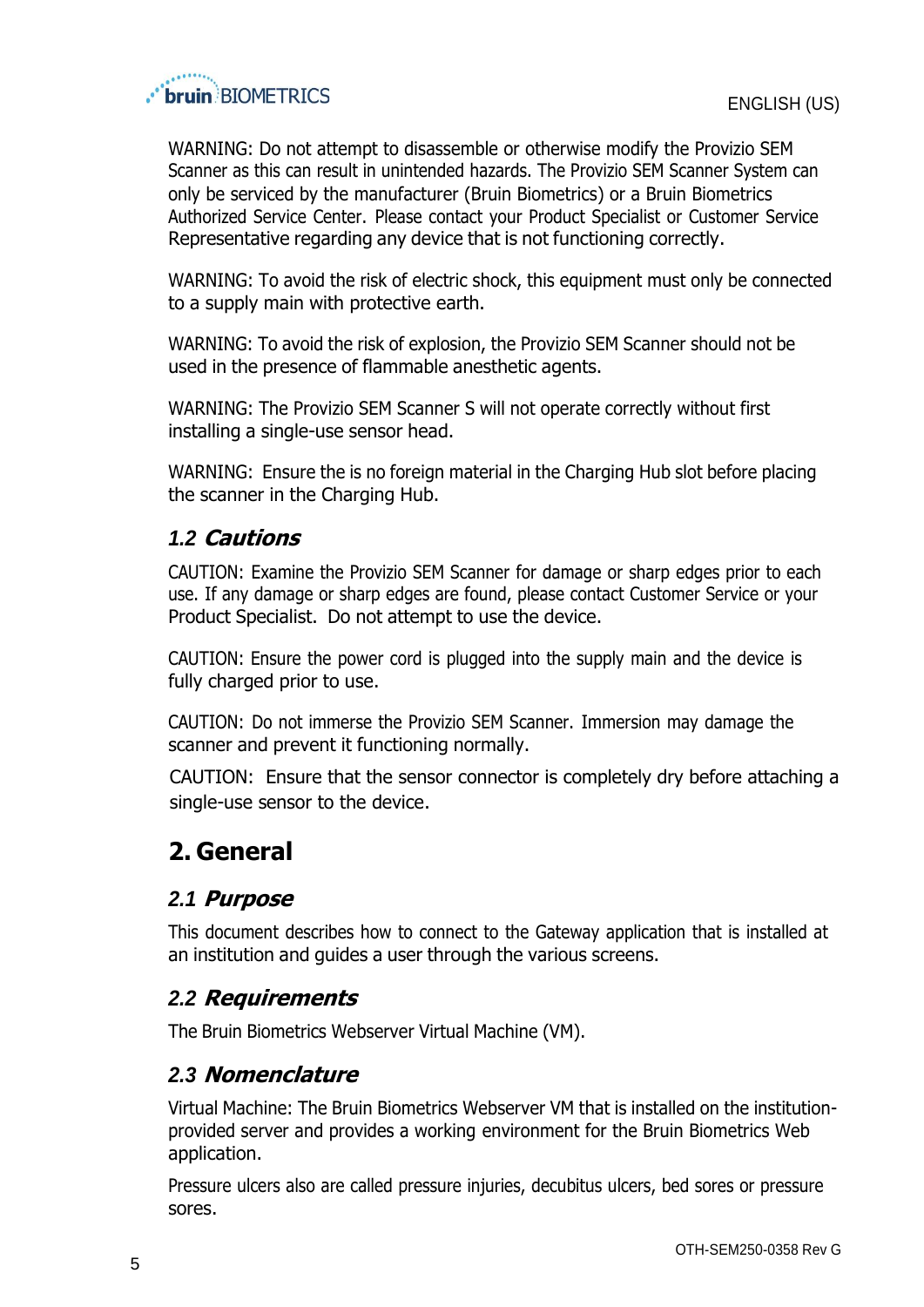

WARNING: Do not attempt to disassemble or otherwise modify the Provizio SEM Scanner as this can result in unintended hazards. The Provizio SEM Scanner System can only be serviced by the manufacturer (Bruin Biometrics) or a Bruin Biometrics Authorized Service Center. Please contact your Product Specialist or Customer Service Representative regarding any device that is not functioning correctly.

WARNING: To avoid the risk of electric shock, this equipment must only be connected to a supply main with protective earth.

WARNING: To avoid the risk of explosion, the Provizio SEM Scanner should not be used in the presence of flammable anesthetic agents.

WARNING: The Provizio SEM Scanner S will not operate correctly without first installing a single-use sensor head.

WARNING: Ensure the is no foreign material in the Charging Hub slot before placing the scanner in the Charging Hub.

### <span id="page-4-0"></span>*1.2* **Cautions**

CAUTION: Examine the Provizio SEM Scanner for damage or sharp edges prior to each use. If any damage or sharp edges are found, please contact Customer Service or your Product Specialist. Do not attempt to use the device.

CAUTION: Ensure the power cord is plugged into the supply main and the device is fully charged prior to use.

CAUTION: Do not immerse the Provizio SEM Scanner. Immersion may damage the scanner and prevent it functioning normally.

 CAUTION: Ensure that the sensor connector is completely dry before attaching a single-use sensor to the device.

# <span id="page-4-1"></span>**2. General**

### <span id="page-4-2"></span>*2.1* **Purpose**

This document describes how to connect to the Gateway application that is installed at an institution and guides a user through the various screens.

# <span id="page-4-3"></span>*2.2* **Requirements**

The Bruin Biometrics Webserver Virtual Machine (VM).

### <span id="page-4-4"></span>*2.3* **Nomenclature**

Virtual Machine: The Bruin Biometrics Webserver VM that is installed on the institutionprovided server and provides a working environment for the Bruin Biometrics Web application.

Pressure ulcers also are called pressure injuries, decubitus ulcers, bed sores or pressure sores.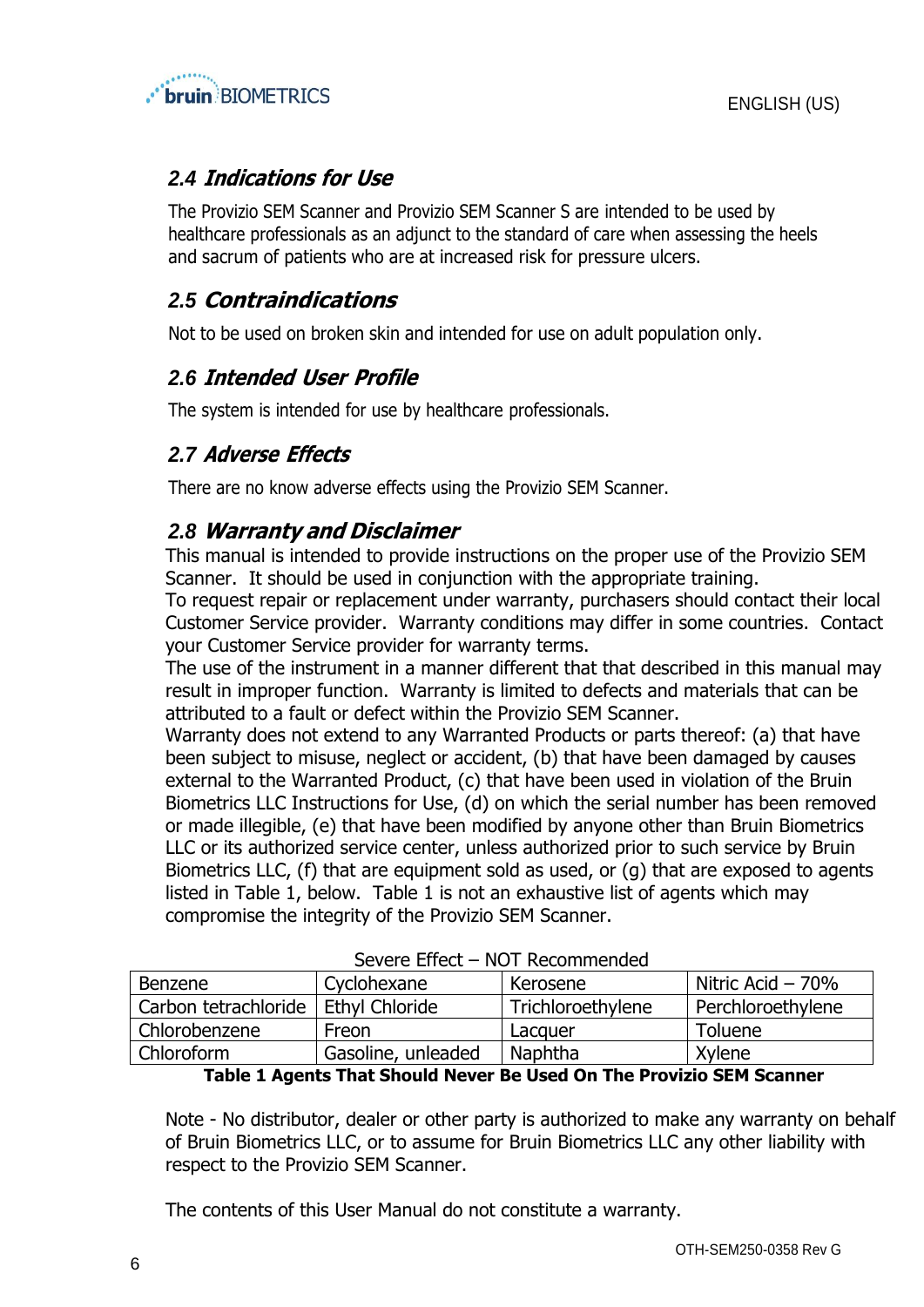

## <span id="page-5-0"></span>*2.4* **Indications for Use**

The Provizio SEM Scanner and Provizio SEM Scanner S are intended to be used by healthcare professionals as an adjunct to the standard of care when assessing the heels and sacrum of patients who are at increased risk for pressure ulcers.

## <span id="page-5-1"></span>*2.5* **Contraindications**

Not to be used on broken skin and intended for use on adult population only.

### <span id="page-5-2"></span>*2.6* **Intended User Profile**

The system is intended for use by healthcare professionals.

## <span id="page-5-3"></span>*2.7* **Adverse Effects**

There are no know adverse effects using the Provizio SEM Scanner.

### <span id="page-5-4"></span>*2.8* **Warranty and Disclaimer**

This manual is intended to provide instructions on the proper use of the Provizio SEM Scanner. It should be used in conjunction with the appropriate training.

To request repair or replacement under warranty, purchasers should contact their local Customer Service provider. Warranty conditions may differ in some countries. Contact your Customer Service provider for warranty terms.

The use of the instrument in a manner different that that described in this manual may result in improper function. Warranty is limited to defects and materials that can be attributed to a fault or defect within the Provizio SEM Scanner.

Warranty does not extend to any Warranted Products or parts thereof: (a) that have been subject to misuse, neglect or accident, (b) that have been damaged by causes external to the Warranted Product, (c) that have been used in violation of the Bruin Biometrics LLC Instructions for Use, (d) on which the serial number has been removed or made illegible, (e) that have been modified by anyone other than Bruin Biometrics LLC or its authorized service center, unless authorized prior to such service by Bruin Biometrics LLC, (f) that are equipment sold as used, or (g) that are exposed to agents listed in [Table 1,](#page-5-5) below. [Table 1](#page-5-5) is not an exhaustive list of agents which may compromise the integrity of the Provizio SEM Scanner.

| Severe Ellect – NOT Recommended |                    |                   |                    |  |
|---------------------------------|--------------------|-------------------|--------------------|--|
| Benzene                         | Cyclohexane        | Kerosene          | Nitric Acid $-70%$ |  |
| Carbon tetrachloride            | Ethyl Chloride     | Trichloroethylene | Perchloroethylene  |  |
| Chlorobenzene                   | Freon              | Lacquer           | Toluene            |  |
| Chloroform                      | Gasoline, unleaded | <b>Naphtha</b>    | Xylene             |  |

|  | Severe Effect - NOT Recommended |  |
|--|---------------------------------|--|
|--|---------------------------------|--|

#### **Table 1 Agents That Should Never Be Used On The Provizio SEM Scanner**

<span id="page-5-5"></span>Note - No distributor, dealer or other party is authorized to make any warranty on behalf of Bruin Biometrics LLC, or to assume for Bruin Biometrics LLC any other liability with respect to the Provizio SEM Scanner.

The contents of this User Manual do not constitute a warranty.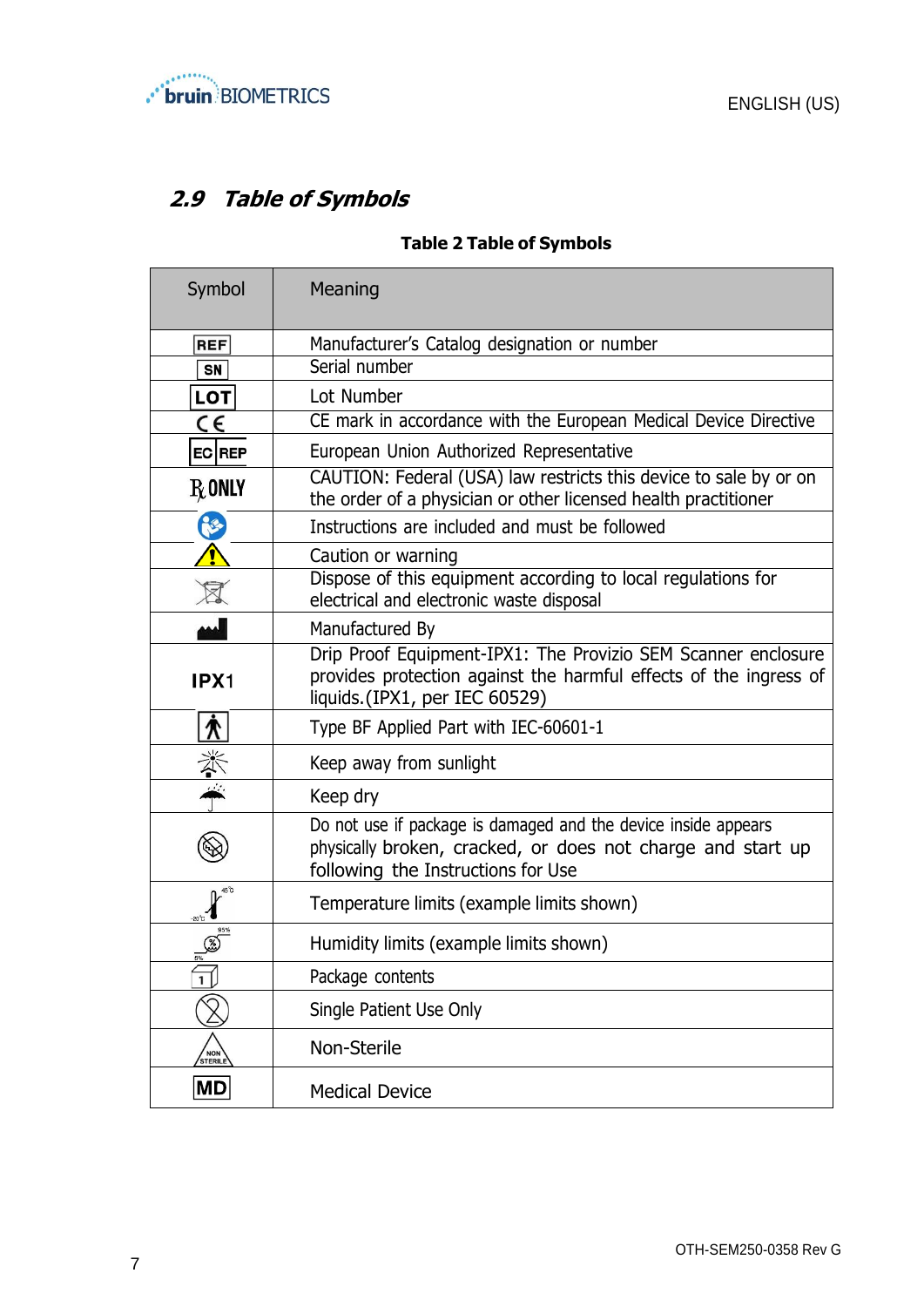

# <span id="page-6-0"></span>**2.9 Table of Symbols**

#### **Table 2 Table of Symbols**

| Symbol                       | Meaning                                                                                                                                                             |
|------------------------------|---------------------------------------------------------------------------------------------------------------------------------------------------------------------|
| REF                          | Manufacturer's Catalog designation or number                                                                                                                        |
| <b>SN</b>                    | Serial number                                                                                                                                                       |
| LOT                          | Lot Number                                                                                                                                                          |
| $\epsilon$                   | CE mark in accordance with the European Medical Device Directive                                                                                                    |
| EC REP                       | European Union Authorized Representative                                                                                                                            |
| $R_{\rm 0}$ only             | CAUTION: Federal (USA) law restricts this device to sale by or on<br>the order of a physician or other licensed health practitioner                                 |
| Ń                            | Instructions are included and must be followed                                                                                                                      |
|                              | Caution or warning                                                                                                                                                  |
|                              | Dispose of this equipment according to local regulations for<br>electrical and electronic waste disposal                                                            |
|                              | Manufactured By                                                                                                                                                     |
| IPX1                         | Drip Proof Equipment-IPX1: The Provizio SEM Scanner enclosure<br>provides protection against the harmful effects of the ingress of<br>liquids.(IPX1, per IEC 60529) |
| <u>木</u>                     | Type BF Applied Part with IEC-60601-1                                                                                                                               |
| 美榮                           | Keep away from sunlight                                                                                                                                             |
|                              | Keep dry                                                                                                                                                            |
|                              | Do not use if package is damaged and the device inside appears<br>physically broken, cracked, or does not charge and start up<br>following the Instructions for Use |
|                              | Temperature limits (example limits shown)                                                                                                                           |
|                              | Humidity limits (example limits shown)                                                                                                                              |
| 1                            | Package contents                                                                                                                                                    |
|                              | Single Patient Use Only                                                                                                                                             |
| <b>NON</b><br><b>STERILE</b> | Non-Sterile                                                                                                                                                         |
| $ \mathsf{MD} $              | <b>Medical Device</b>                                                                                                                                               |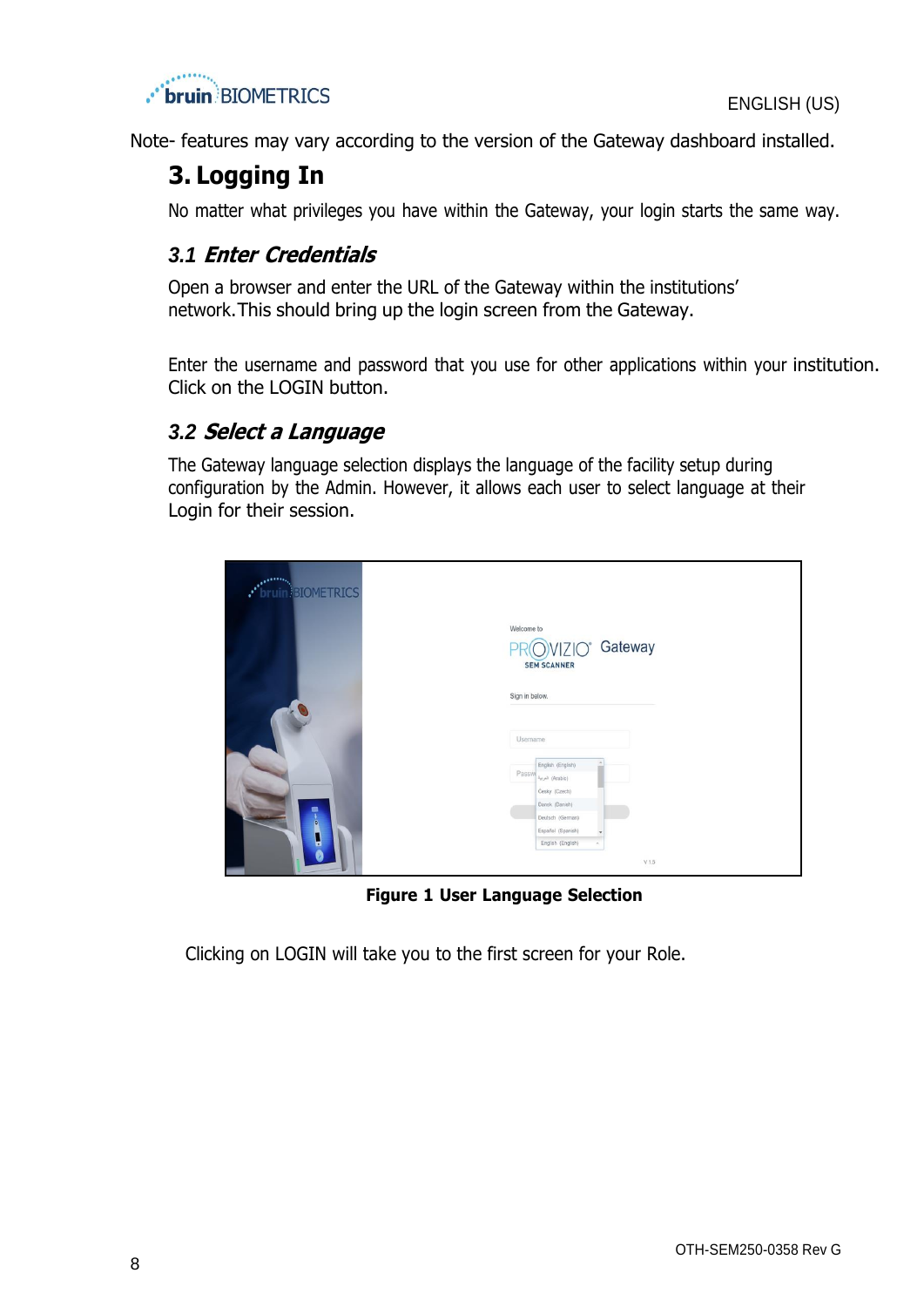



<span id="page-7-0"></span>Note- features may vary according to the version of the Gateway dashboard installed.

# **3. Logging In**

<span id="page-7-1"></span>No matter what privileges you have within the Gateway, your login starts the same way.

# *3.1* **Enter Credentials**

Open a browser and enter the URL of the Gateway within the institutions' network.This should bring up the login screen from the Gateway.

Enter the username and password that you use for other applications within your institution. Click on the LOGIN button.

# <span id="page-7-2"></span>*3.2* **Select <sup>a</sup> Language**

The Gateway language selection displays the language of the facility setup during configuration by the Admin. However, it allows each user to select language at their Login for their session.

| <b>Print</b> BIOMETRICS |                                                                                                |
|-------------------------|------------------------------------------------------------------------------------------------|
|                         | Welcome to<br>PROVIZIO <sup>®</sup> Gateway<br><b>SEM SCANNER</b>                              |
|                         | Sign in below.                                                                                 |
|                         | Username                                                                                       |
|                         | English (English)<br>$\mathsf{Passw} _{\lambda_{\mathsf{H},\mathsf{P}}^{\mathsf{H}}}$ (Arabic) |
| ۸                       | Česky (Czech)<br>Dansk (Danish)                                                                |
| $\circ$<br>g            | Deutsch (German)<br>Español (Spanish)<br>٠                                                     |
|                         | English (English)<br>V1.5                                                                      |

**Figure 1 User Language Selection**

Clicking on LOGIN will take you to the first screen for your Role.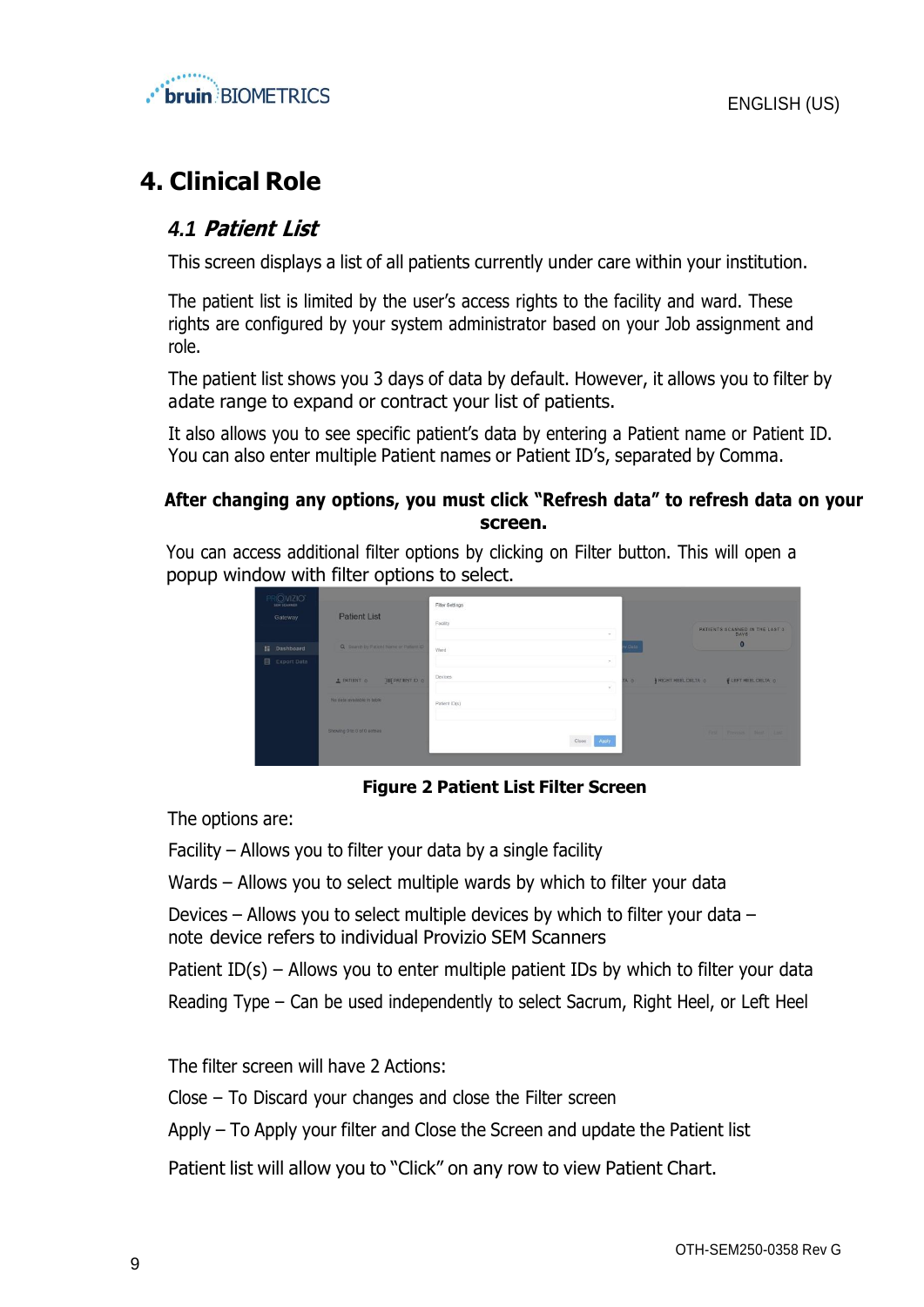



# <span id="page-8-1"></span><span id="page-8-0"></span>**4. Clinical Role**

#### *4.1* **Patient List**

This screen displays a list of all patients currently under care within your institution.

The patient list is limited by the user's access rights to the facility and ward. These rights are configured by your system administrator based on your Job assignment and role.

The patient list shows you 3 days of data by default. However, it allows you to filter by adate range to expand or contract your list of patients.

It also allows you to see specific patient's data by entering a Patient name or Patient ID. You can also enter multiple Patient names or Patient ID's, separated by Comma.

#### **After changing any options, you must click "Refresh data" to refresh data on your screen.**

You can access additional filter options by clicking on Filter button. This will open a popup window with filter options to select.



**Figure 2 Patient List Filter Screen**

The options are:

Facility – Allows you to filter your data by a single facility

Wards – Allows you to select multiple wards by which to filter your data

Devices – Allows you to select multiple devices by which to filter your data – note device refers to individual Provizio SEM Scanners

Patient ID(s) – Allows you to enter multiple patient IDs by which to filter your data Reading Type – Can be used independently to select Sacrum, Right Heel, or Left Heel

The filter screen will have 2 Actions:

Close – To Discard your changes and close the Filter screen

Apply – To Apply your filter and Close the Screen and update the Patient list

Patient list will allow you to "Click" on any row to view Patient Chart.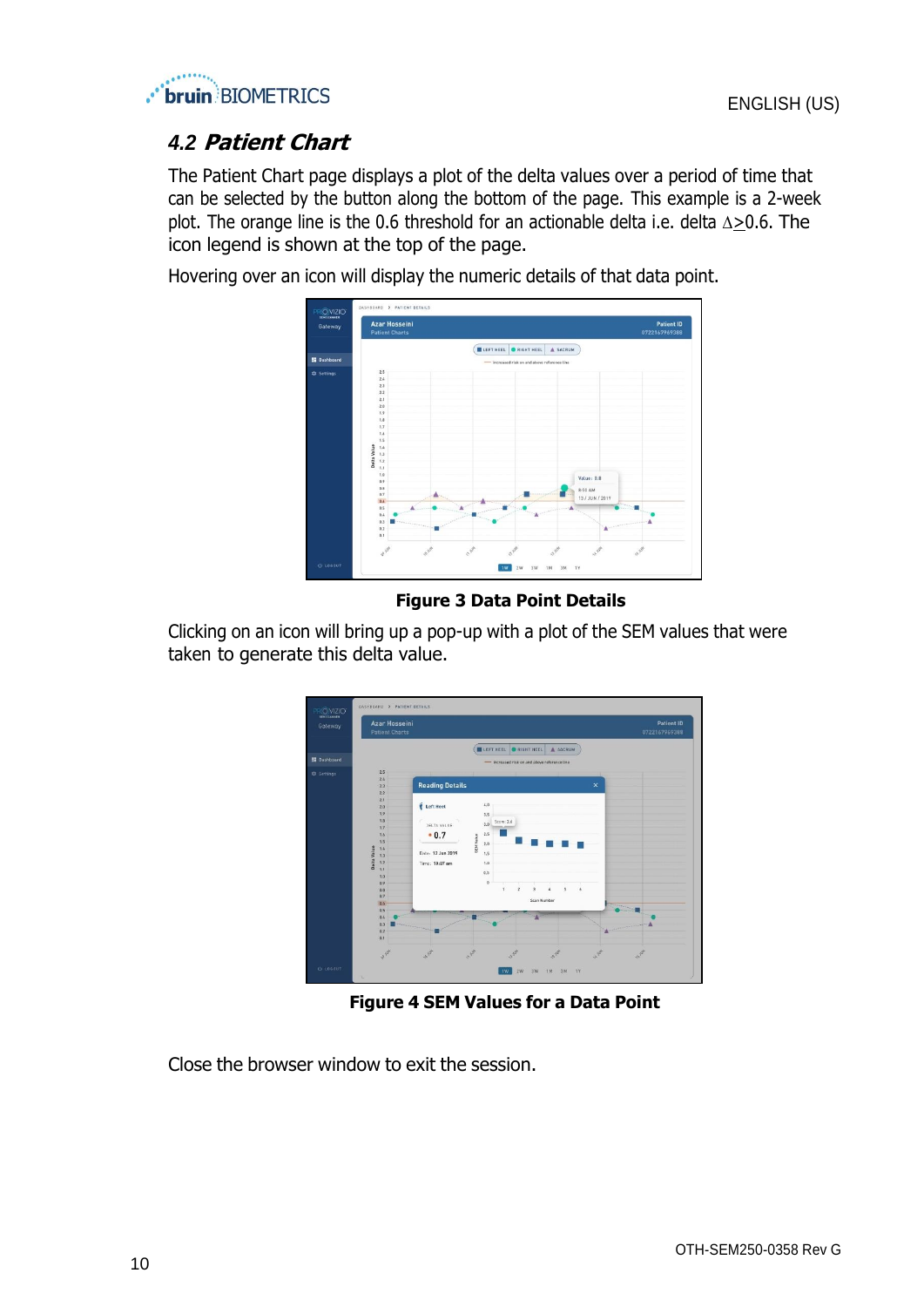

# <span id="page-9-0"></span>*4.2* **Patient Chart**

The Patient Chart page displays a plot of the delta values over a period of time that can be selected by the button along the bottom of the page. This example is a 2-week plot. The orange line is the 0.6 threshold for an actionable delta i.e. delta  $\Delta \geq 0.6$ . The icon legend is shown at the top of the page.

Hovering over an icon will display the numeric details of that data point.



**Figure 3 Data Point Details**

Clicking on an icon will bring up a pop-up with a plot of the SEM values that were taken to generate this delta value.



**Figure 4 SEM Values for a Data Point**

Close the browser window to exit the session.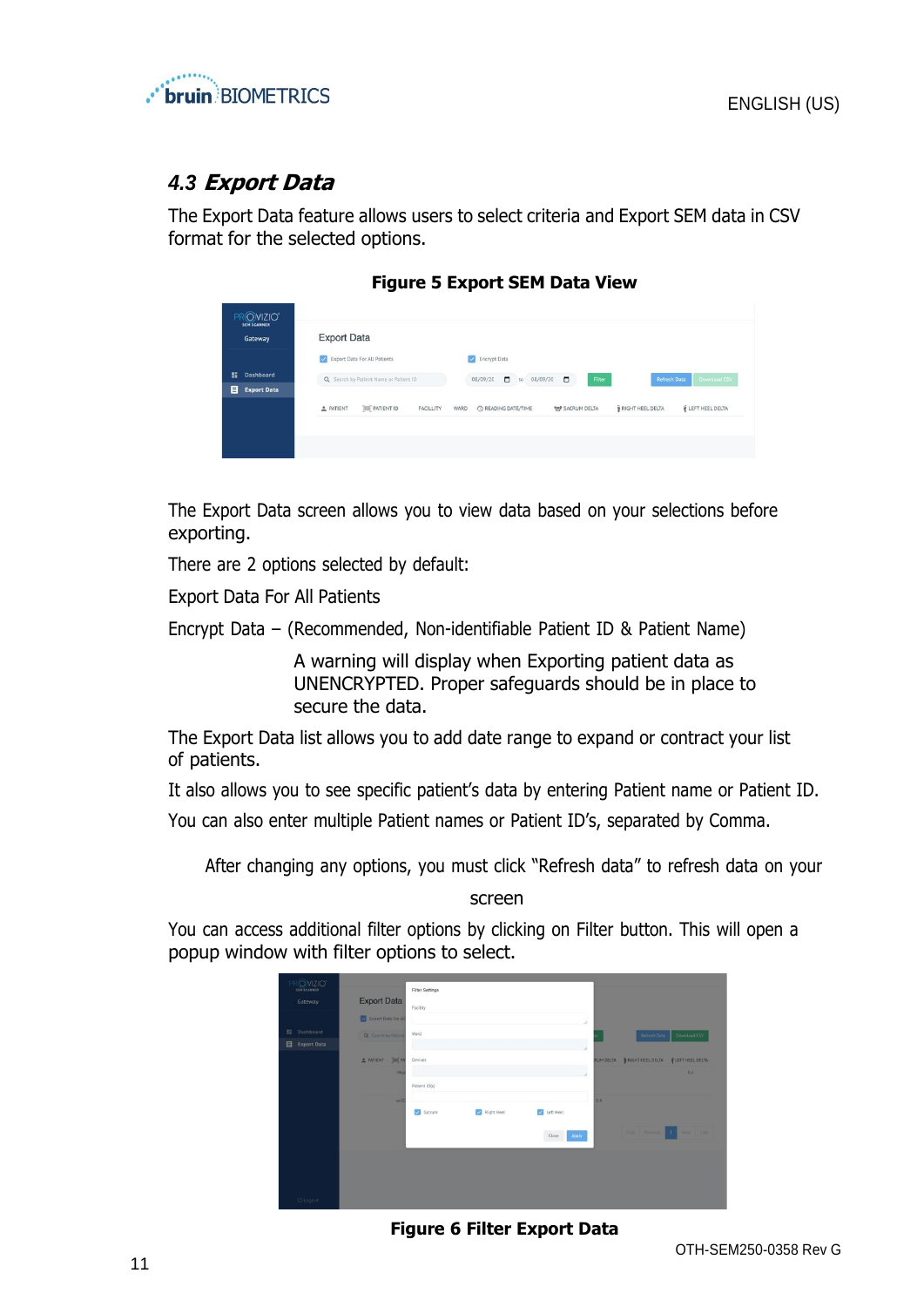

# <span id="page-10-0"></span>*4.3* **Export Data**

The Export Data feature allows users to select criteria and Export SEM data in CSV format for the selected options.

| <b>PROVIZIO*</b><br><b>SEM SCANNER</b><br>Gateway | <b>Export Data</b>                                                          |                                                                                    |                                     |
|---------------------------------------------------|-----------------------------------------------------------------------------|------------------------------------------------------------------------------------|-------------------------------------|
| n<br><b>Dashboard</b><br>目<br><b>Export Data</b>  | Export Data For All Patients<br>M<br>Q Search by Patient Name or Patient ID | Encrypt Data<br>$\sim$<br>$\Box$<br>$\Box$<br>08/09/20<br>Filter<br>08/09/20<br>to | <b>Refresh Data</b><br>Download CSV |
|                                                   | <b>JIII</b> PATIENT ID<br><b>2</b> PATIENT<br>FACILLITY<br>WARD             | C READING DATE/TIME<br><b>197 SACRUM DELTA</b>                                     | LEFT HEEL DELTA<br>RIGHT HEEL DELTA |

#### **Figure 5 Export SEM Data View**

The Export Data screen allows you to view data based on your selections before exporting.

There are 2 options selected by default:

Export Data For All Patients

Encrypt Data – (Recommended, Non-identifiable Patient ID & Patient Name)

A warning will display when Exporting patient data as UNENCRYPTED. Proper safeguards should be in place to secure the data.

The Export Data list allows you to add date range to expand or contract your list of patients.

It also allows you to see specific patient's data by entering Patient name or Patient ID. You can also enter multiple Patient names or Patient ID's, separated by Comma.

After changing any options, you must click "Refresh data" to refresh data on your

screen

You can access additional filter options by clicking on Filter button. This will open a popup window with filter options to select.



**Figure 6 Filter Export Data**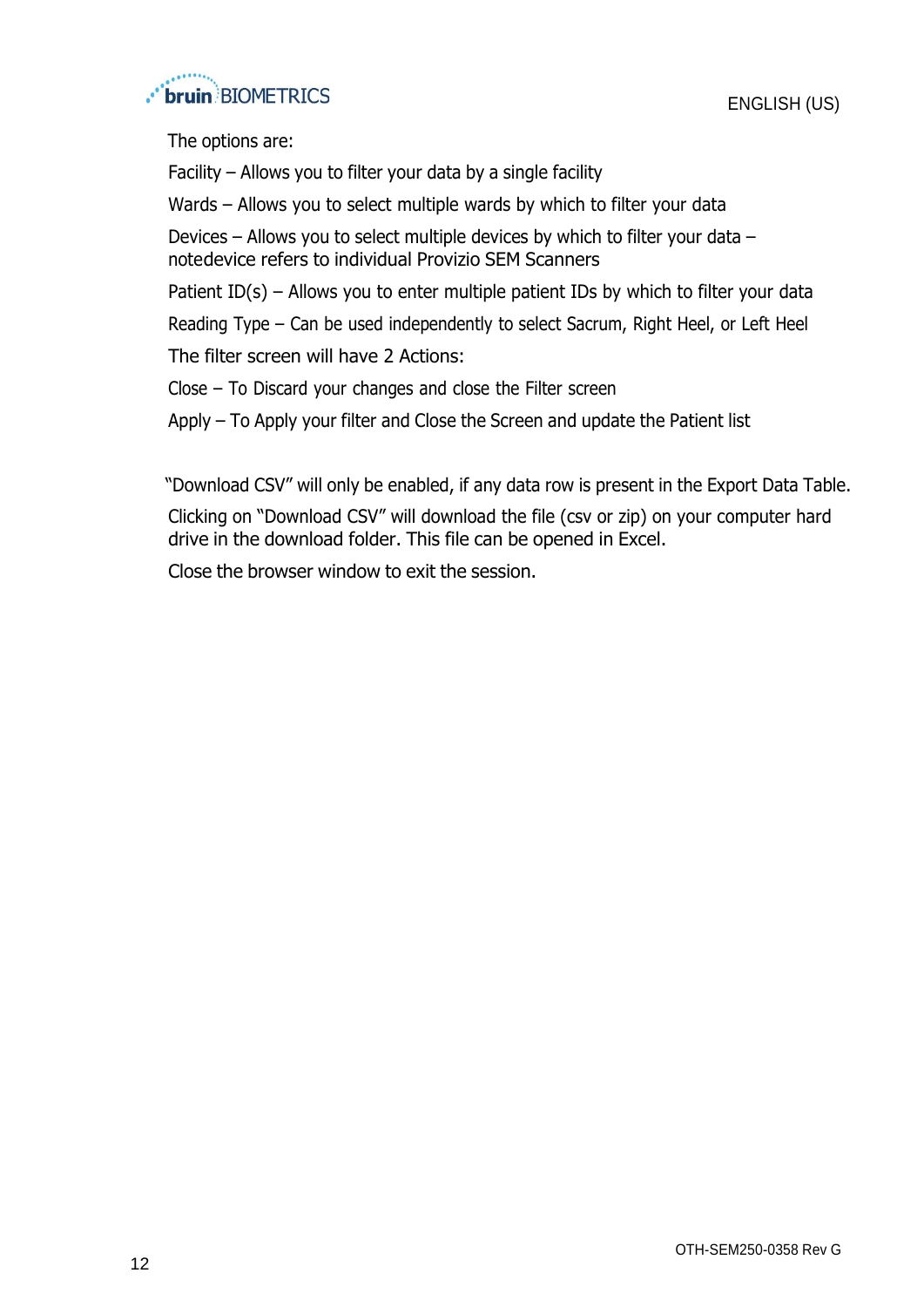

The options are:

Facility – Allows you to filter your data by a single facility

Wards – Allows you to select multiple wards by which to filter your data

Devices – Allows you to select multiple devices by which to filter your data – notedevice refers to individual Provizio SEM Scanners

Patient ID(s) – Allows you to enter multiple patient IDs by which to filter your data

Reading Type – Can be used independently to select Sacrum, Right Heel, or Left Heel

The filter screen will have 2 Actions:

Close – To Discard your changes and close the Filter screen

Apply – To Apply your filter and Close the Screen and update the Patient list

"Download CSV" will only be enabled, if any data row is present in the Export Data Table.

Clicking on "Download CSV" will download the file (csv or zip) on your computer hard drive in the download folder. This file can be opened in Excel.

Close the browser window to exit the session.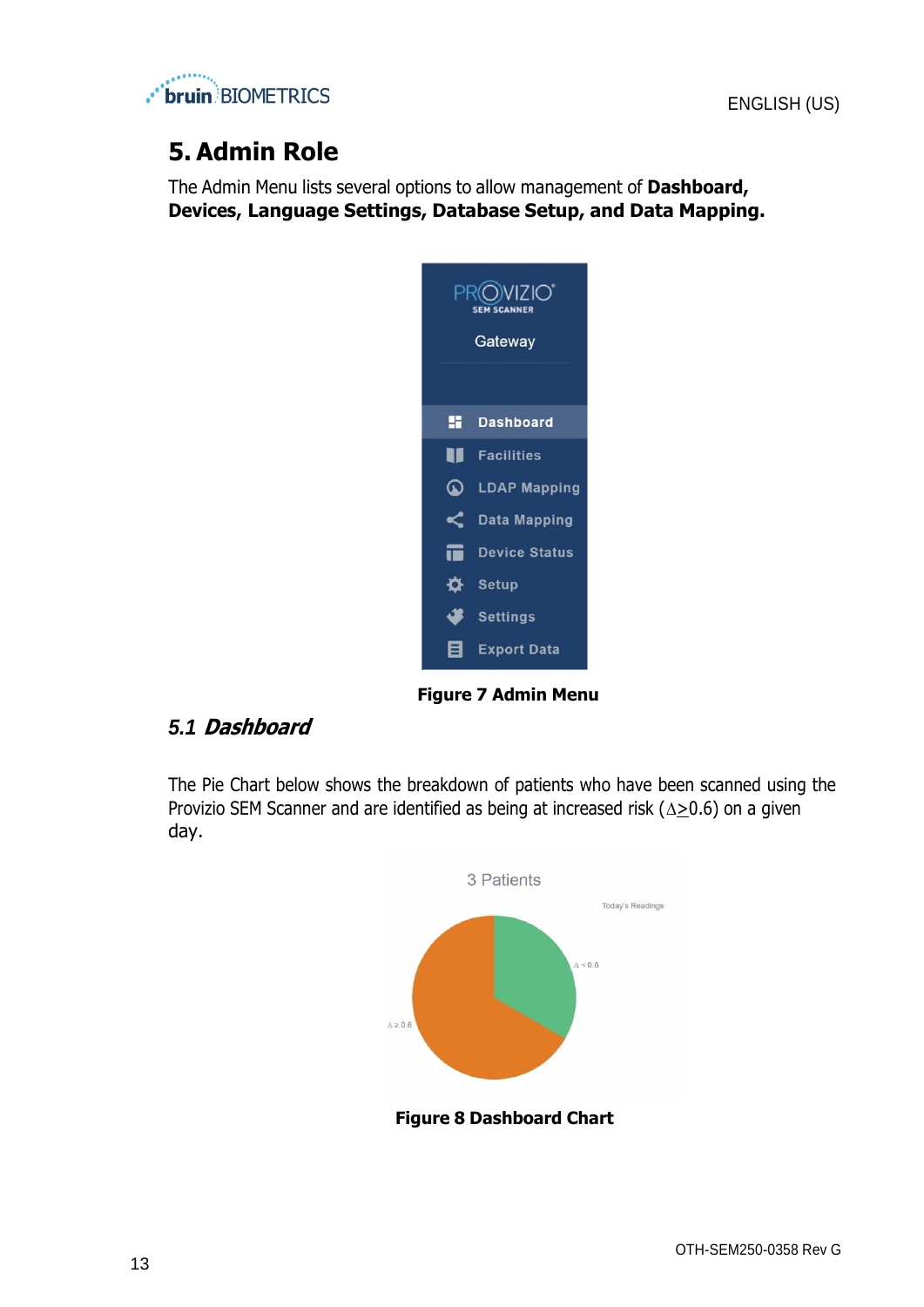

# <span id="page-12-0"></span>**5. Admin Role**

The Admin Menu lists several options to allow management of **Dashboard, Devices, Language Settings, Database Setup, and Data Mapping.**



**Figure 7 Admin Menu**

### <span id="page-12-1"></span>*5.1* **Dashboard**

The Pie Chart below shows the breakdown of patients who have been scanned using the Provizio SEM Scanner and are identified as being at increased risk ( $\triangle$ >0.6) on a given day.



**Figure 8 Dashboard Chart**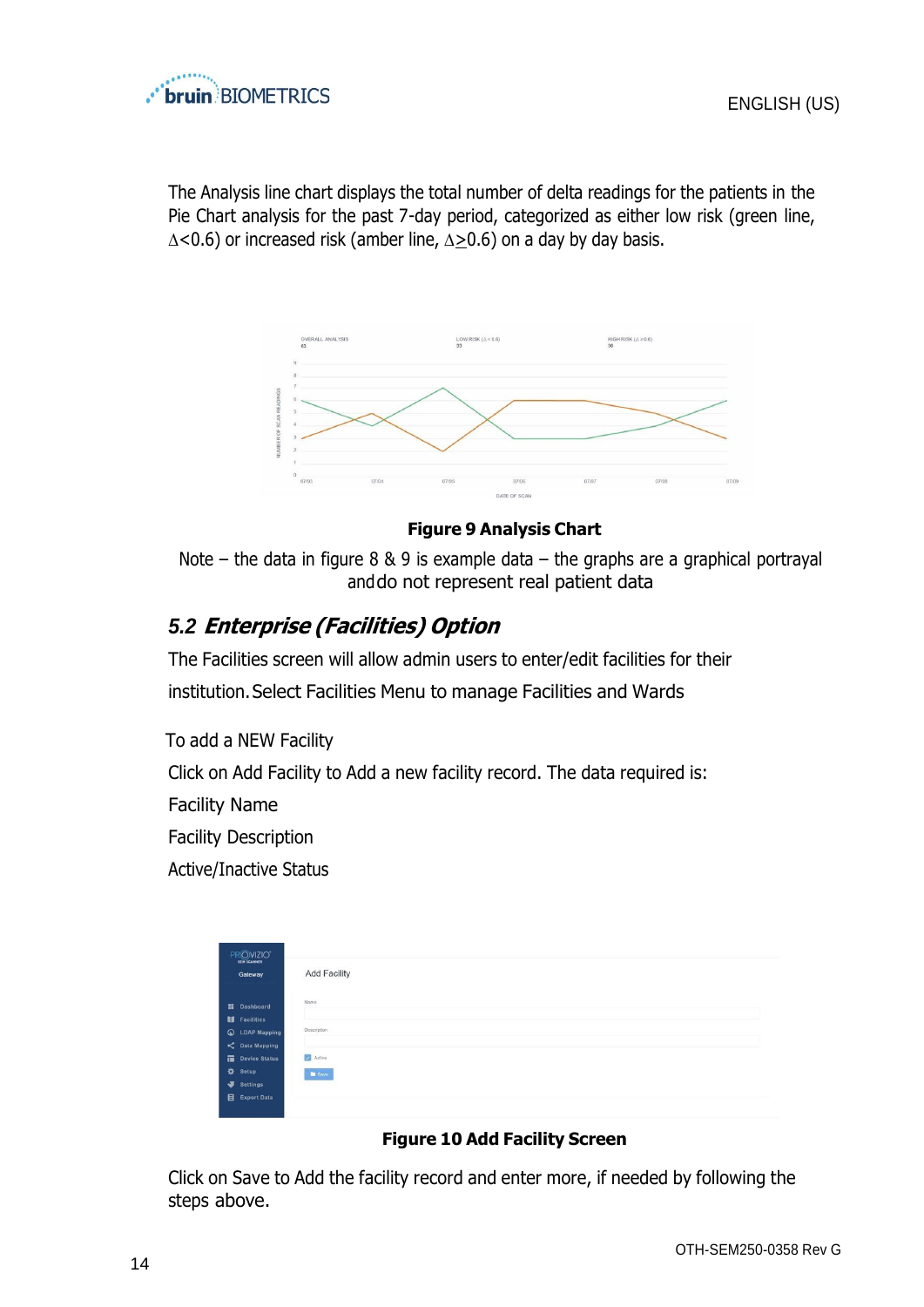

The Analysis line chart displays the total number of delta readings for the patients in the Pie Chart analysis for the past 7-day period, categorized as either low risk (green line,  $\Delta$ <0.6) or increased risk (amber line,  $\Delta \ge 0.6$ ) on a day by day basis.



#### **Figure 9 Analysis Chart**

Note – the data in figure  $8 \& 9$  is example data – the graphs are a graphical portrayal anddo not represent real patient data

# <span id="page-13-0"></span>*5.2* **Enterprise (Facilities) Option**

The Facilities screen will allow admin users to enter/edit facilities for their institution.Select Facilities Menu to manage Facilities and Wards

To add a NEW Facility Click on Add Facility to Add a new facility record. The data required is: Facility Name Facility Description

Active/Inactive Status

| PROVIZIO"<br><b>SEM SCANNER</b> |                      |               |
|---------------------------------|----------------------|---------------|
|                                 | Gateway              | Add Facility  |
|                                 |                      | Name          |
|                                 | <b>El</b> Dashboard  |               |
|                                 | <b>If</b> Facilities |               |
|                                 | C LDAP Mapping       | Description   |
|                                 | C Data Mapping       |               |
|                                 | Device Status        | Active        |
|                                 | <b>☆</b> Setup       | <b>B</b> Save |
|                                 | Settings             |               |
|                                 | <b>目</b> Export Data |               |

#### **Figure 10 Add Facility Screen**

Click on Save to Add the facility record and enter more, if needed by following the steps above.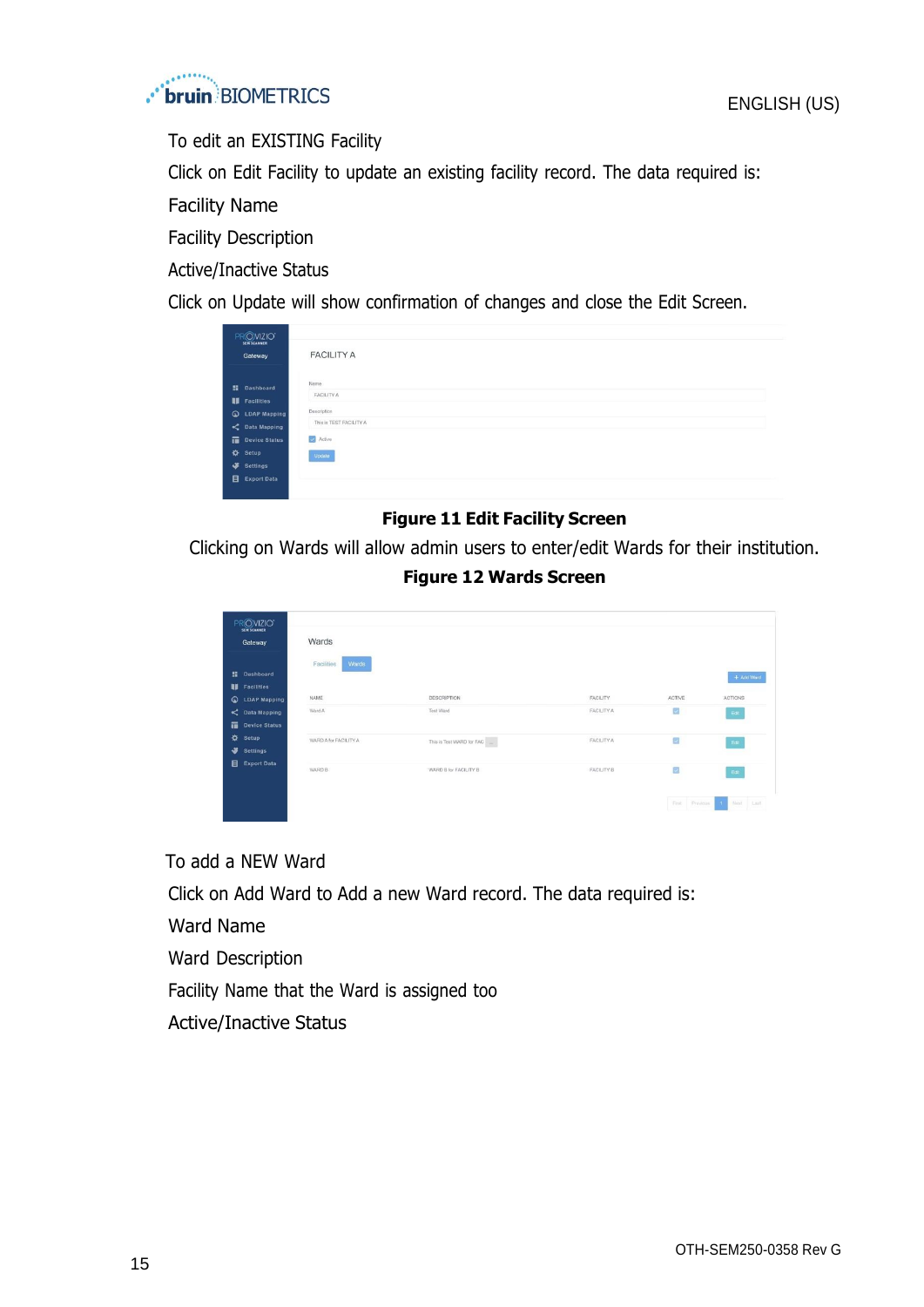

To edit an EXISTING Facility

Click on Edit Facility to update an existing facility record. The data required is:

Facility Name

Facility Description

Active/Inactive Status

Click on Update will show confirmation of changes and close the Edit Screen.

| PROVIZIO"<br>SEM SCANNER |                              |
|--------------------------|------------------------------|
| Gateway                  | <b>FACILITY A</b>            |
| <b>H</b> Dashboard       | Name                         |
| <b>II</b> Facilities     | FACILITY A                   |
| <b>Q</b> LDAP Mapping    | Description                  |
| C Data Mapping           | This is TEST FACILITY A      |
| Device Status            | $\blacktriangleright$ Active |
| <b>☆</b> Setup           | Update                       |
| Settings                 |                              |
| <b>目</b> Export Data     |                              |

#### **Figure 11 Edit Facility Screen**

Clicking on Wards will allow admin users to enter/edit Wards for their institution.

#### **Figure 12 Wards Screen**

| Gateway                        | Wards                 |                                             |                   |                          |              |
|--------------------------------|-----------------------|---------------------------------------------|-------------------|--------------------------|--------------|
|                                | Wards<br>Facilities   |                                             |                   |                          |              |
| <b>E</b> Dashboard             |                       |                                             |                   |                          | + Add Ward   |
| <b>II</b> Facilities           |                       |                                             |                   |                          |              |
| $\circ$<br><b>LDAP Mapping</b> | NAME                  | DESCRIPTION                                 | FACILITY          | <b>ACTIVE</b>            | ACTIONS      |
| C Data Mapping                 | Ward A                | Test Ward                                   | FACILITY A        | Ø                        | Edit         |
| Device Status                  |                       |                                             |                   |                          |              |
| Setup                          | WARD A for FACILITY A | This is Test WARD for FAC $\qquad \qquad -$ | FACILITY A        | $\overline{\mathbf{v}}$  | Edi          |
| Settings                       |                       |                                             |                   |                          |              |
| Export Data                    |                       |                                             |                   |                          |              |
|                                | WARD B                | WARD B for FACILITY B                       | <b>FACILITY B</b> | $\overline{\mathcal{L}}$ | $_{\rm Edd}$ |

To add a NEW Ward

Click on Add Ward to Add a new Ward record. The data required is:

Ward Name

Ward Description

Facility Name that the Ward is assigned too

Active/Inactive Status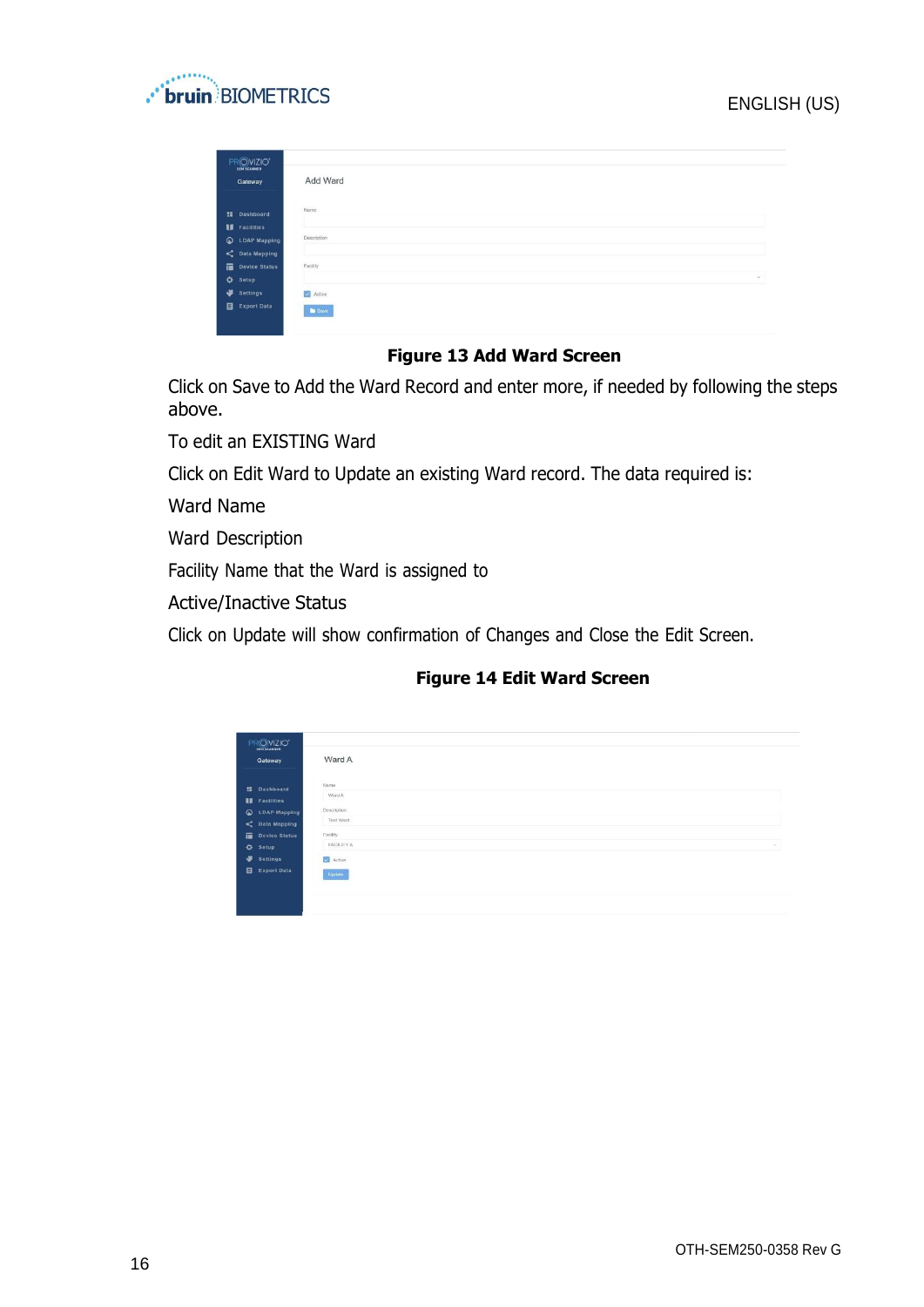#### ENGLISH (US)



| PROVIZIO"<br><b>SEM SCANNER</b><br>Gateway | Add Ward      |
|--------------------------------------------|---------------|
|                                            | Name          |
| <b>Il Dashboard</b>                        |               |
| <b>II</b> Facilities                       |               |
| C LDAP Mapping                             | Description   |
| C Data Mapping                             |               |
| Device Status                              | Facility      |
| <b>☆</b> Setup                             | $\sim$        |
| Settings                                   | Active        |
| Export Data                                | <b>D</b> Save |

## **Figure 13 Add Ward Screen**

Click on Save to Add the Ward Record and enter more, if needed by following the steps above.

To edit an EXISTING Ward

Click on Edit Ward to Update an existing Ward record. The data required is:

Ward Name

Ward Description

Facility Name that the Ward is assigned to

Active/Inactive Status

Click on Update will show confirmation of Changes and Close the Edit Screen.

#### **Figure 14 Edit Ward Screen**

| PROVIZIO <sup>*</sup>                   |                             |
|-----------------------------------------|-----------------------------|
| Gateway                                 | Ward A                      |
| <b>E</b> Dashboard                      | Name                        |
| <b>IS</b> Facilities                    | Ward A                      |
| <b>Q</b> LDAP Mapping<br>C Data Mapping | Description<br>Test Ward    |
| Device Status                           | Facility                    |
| <b>Q</b> Setup                          | FACILITY A<br>$\mathcal{C}$ |
| Settings<br>Export Data                 | Active                      |
|                                         | <b>Update</b>               |
|                                         |                             |
|                                         |                             |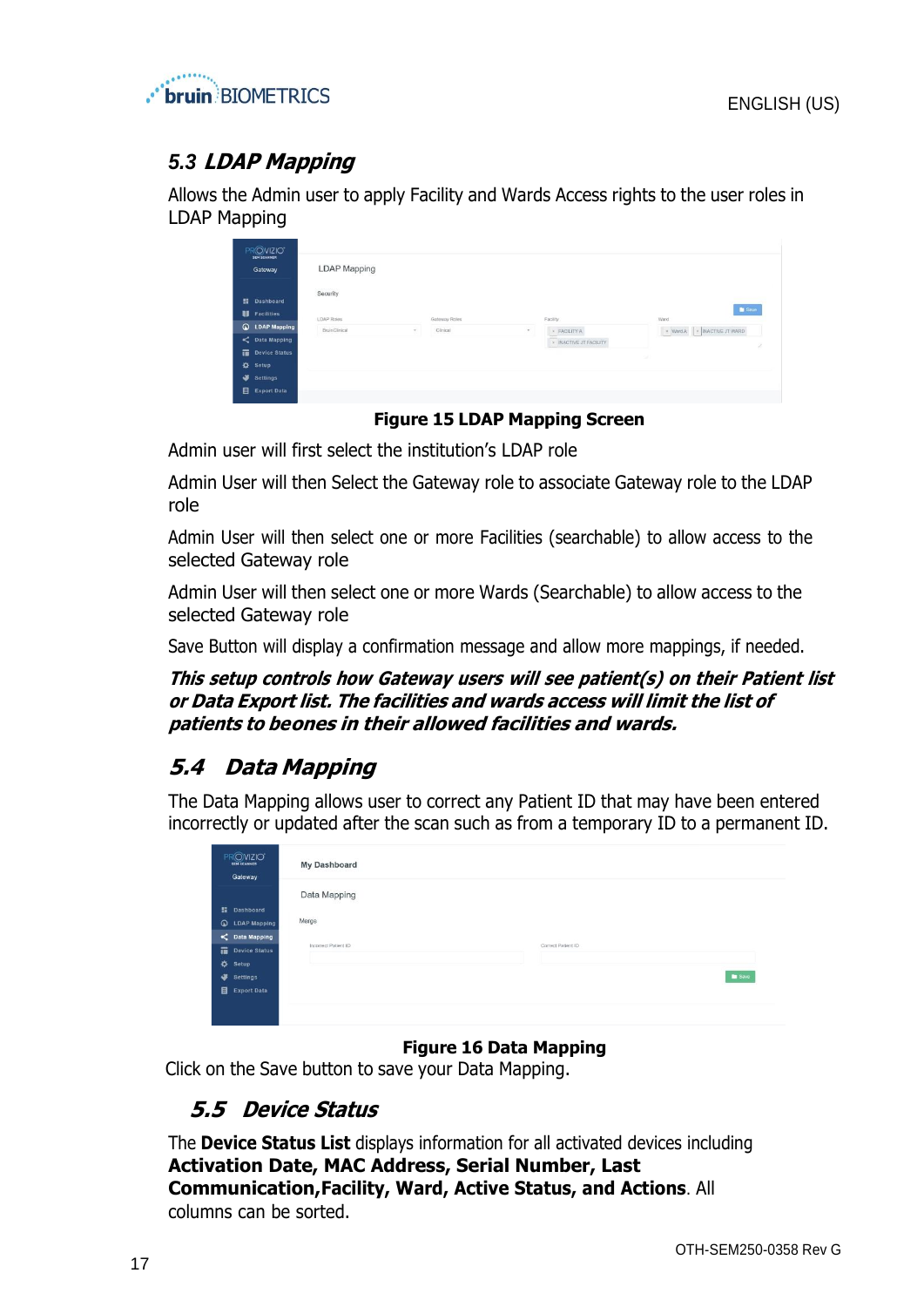

# <span id="page-16-0"></span>*5.3* **LDAP Mapping**

Allows the Admin user to apply Facility and Wards Access rights to the user roles in LDAP Mapping

|   | $\begin{array}{c}\n\mathsf{PR} \bigcirc \mathsf{VIZIO}^*\n\\ \mathsf{sen} \; \mathsf{scansen}\n\end{array}$<br>Gateway | <b>LDAP Mapping</b> |        |               |                          |                                        |               |
|---|------------------------------------------------------------------------------------------------------------------------|---------------------|--------|---------------|--------------------------|----------------------------------------|---------------|
|   | <b>最</b> Dashboard<br><b>B</b> Facilities                                                                              | Security            |        |               |                          |                                        | <b>D</b> Save |
|   | <b>Q</b> LDAP Mapping                                                                                                  | LDAP Roles          |        | Gateway Roles |                          | Facility                               | Ward          |
| ٠ | C Data Mapping<br>Device Status                                                                                        | BruinClinical       | $\sim$ | Clinical      | $\overline{\phantom{a}}$ | * FACILITY A<br>* INACTIVE JT FACILITY | 2<br>w        |
|   | Setup                                                                                                                  |                     |        |               |                          |                                        |               |
| ۰ | <b>Settings</b>                                                                                                        |                     |        |               |                          |                                        |               |
| 目 | <b>Export Data</b>                                                                                                     |                     |        |               |                          |                                        |               |

#### **Figure 15 LDAP Mapping Screen**

Admin user will first select the institution's LDAP role

Admin User will then Select the Gateway role to associate Gateway role to the LDAP role

Admin User will then select one or more Facilities (searchable) to allow access to the selected Gateway role

Admin User will then select one or more Wards (Searchable) to allow access to the selected Gateway role

Save Button will display a confirmation message and allow more mappings, if needed.

**This setup controls how Gateway users will see patient(s) on their Patient list or Data Export list. The facilities and wards access will limit the list of patients to beones in their allowed facilities and wards.**

# <span id="page-16-1"></span>**5.4 Data Mapping**

The Data Mapping allows user to correct any Patient ID that may have been entered incorrectly or updated after the scan such as from a temporary ID to a permanent ID.

| PROVIZIO <sup>*</sup><br>SEM SCANNER<br>Gateway | <b>My Dashboard</b>                        |
|-------------------------------------------------|--------------------------------------------|
|                                                 | Data Mapping                               |
| <b>請</b> Dashboard                              |                                            |
| $\circ$<br><b>LDAP Mapping</b>                  | Merge                                      |
| C Data Mapping                                  |                                            |
| Device Status                                   | Correct Patient ID<br>Incorrect Patient ID |
| $\mathbf{\dot{\alpha}}$<br>Setup                |                                            |
| ۰<br>Settings                                   | <b>B</b> Save                              |
| E Export Data                                   |                                            |
|                                                 |                                            |
|                                                 |                                            |

#### **Figure 16 Data Mapping**

Click on the Save button to save your Data Mapping.

# <span id="page-16-2"></span>**5.5 Device Status**

The **Device Status List** displays information for all activated devices including **Activation Date, MAC Address, Serial Number, Last Communication,Facility, Ward, Active Status, and Actions**. All columns can be sorted.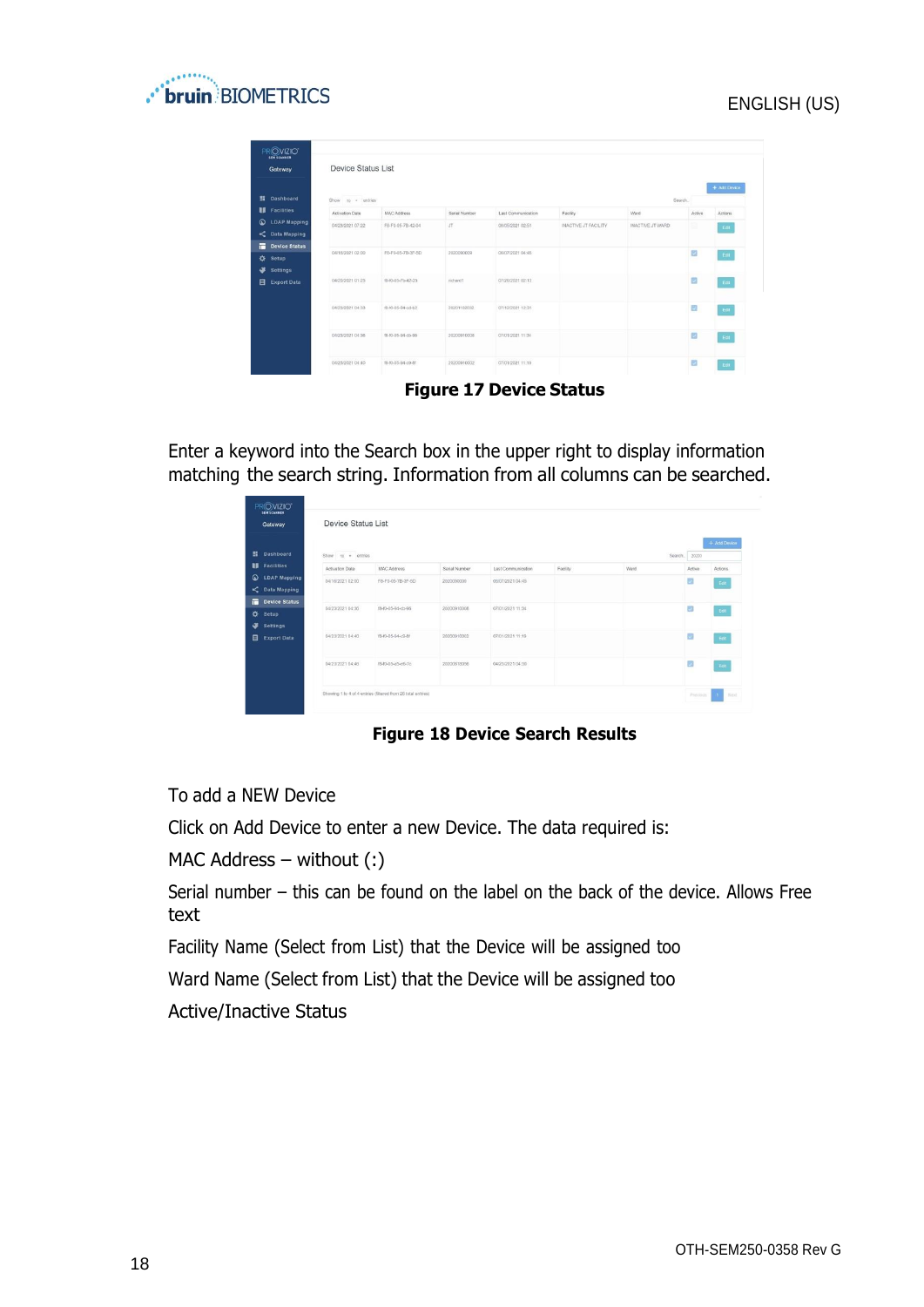



| Gateway                                                  | <b>Device Status List</b> |                   |               |                    |                      |                  |        |               |
|----------------------------------------------------------|---------------------------|-------------------|---------------|--------------------|----------------------|------------------|--------|---------------|
| <b>Dashboard</b>                                         | Show to - entries         |                   |               |                    |                      |                  | Search | + Add Device  |
| 18<br><b>Facilities</b><br>$\circ$                       | Activation Date           | MAC Address       | Serial Number | Last Communication | Facility             | Ward             | Active | Actions       |
| <b>LDAP Mapping</b><br><b>Data Mapping</b>               | 04/23/2021 07:22          | FB-F0-05-78-42-04 | JT            | 08/05/2021 02:51   | INACTIVE JT FACILITY | INACTIVE JT WARD | e      | Edit          |
| 置<br><b>Device Status</b><br>⋫<br>Setup<br>æ<br>Settings | 04/16/2021 02:00          | F8-F0-05-7B-3F-5D | 2020090009    | 06/07/2021 04:45   |                      |                  | ø      | Edit          |
| <b>Export Data</b>                                       | 04/20/2021 01:25          | f8-f0-05-7b-42-25 | richard1      | 07/26/2021 02:13   |                      |                  | 図      | $_{\rm{Edd}}$ |
|                                                          | 04/23/2021 04:33          | f8-f0-05-94-od-b2 | 20201102032   | 07/12/2021 12:31   |                      |                  | 國      | $_{\rm Edd}$  |
|                                                          | 04/23/2021 04:36          | f8-f0-05-94-cb-96 | 20200910008   | 07/01/2021 11:34   |                      |                  | ø      | Edit          |
|                                                          | 04/23/2021 04:40          | 18-f0-05-94-c9-8f | 20200910002   | 07/01/2021 11:19   |                      |                  | 國      | Edit          |

**Figure 17 Device Status**

Enter a keyword into the Search box in the upper right to display information matching the search string. Information from all columns can be searched.

| Gateway                               | <b>Device Status List</b> |                                                              |               |                    |          |         |                       |              |
|---------------------------------------|---------------------------|--------------------------------------------------------------|---------------|--------------------|----------|---------|-----------------------|--------------|
| <b>提</b> Dashboard                    | Show to = entries         |                                                              |               |                    |          | Search. | 20200                 | + Add Device |
| <b>Facilities</b>                     | Activation Date           | <b>MAC Address</b>                                           | Serial Number | Last Communication | Facility | Werd    | <b>Active</b>         | Actions      |
| <b>LDAP Mapping</b><br>C Data Mapping | 04/15/2021 02:00          | F8-F0-05-7B-3F-5D                                            | 2020090009    | 06/07/2021 04:45   |          |         | 國                     | Eat          |
| <b>Device Status</b><br>Setup         | 04/23/2021 04:36          | f8-f0-05-94-cb-96                                            | 20200910008   | 07/01/2021 11:34   |          |         | $\mathcal{L}_{\rm s}$ | $_{\rm Edd}$ |
| <b>Settings</b><br><b>Export Data</b> | 04/23/2021 04:40          | f8-f0-05-94-c9-8f                                            | 20200910002   | 07/01/2021 11:19   |          |         | ø                     | Edit         |
|                                       |                           |                                                              |               |                    |          |         |                       |              |
|                                       | 04/23/2021 04:46          | f8-f0-05-a5-e8-7c                                            | 20200818056   | 04/23/2021 04:50   |          |         | B                     | Eat          |
|                                       |                           | Showing 1 to 4 of 4 entries (filtered from 26 total entries) |               |                    |          |         | Previous              | n.           |

**Figure 18 Device Search Results**

To add a NEW Device

Click on Add Device to enter a new Device. The data required is:

MAC Address – without (:)

Serial number – this can be found on the label on the back of the device. Allows Free text

Facility Name (Select from List) that the Device will be assigned too

Ward Name (Select from List) that the Device will be assigned too

Active/Inactive Status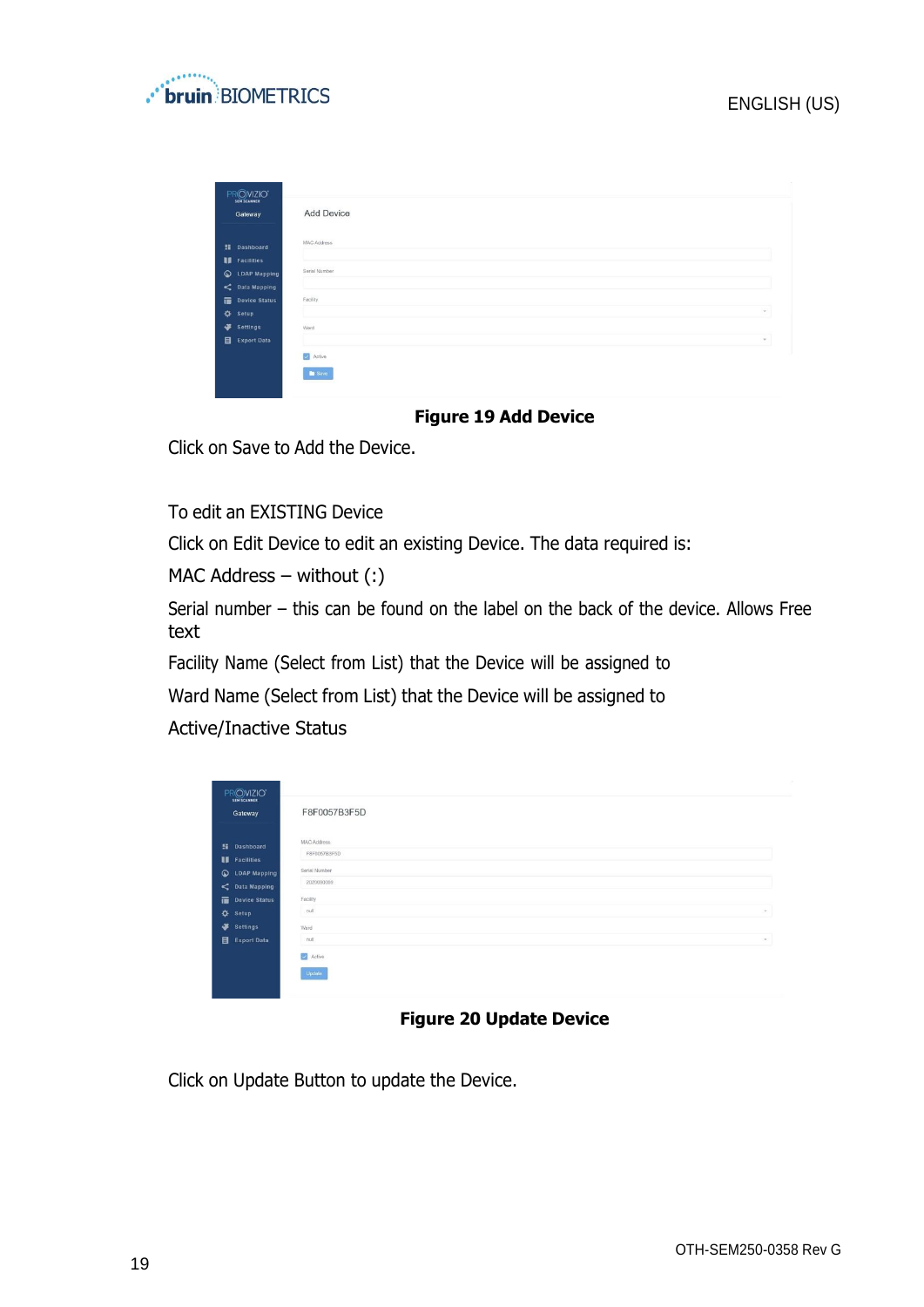

| $\begin{array}{c}\n\text{PR} \textcircled{O} \text{VIZIO} \text{'}\\ \text{sh} \text{scannier}\n\end{array}$<br>Gateway | Add Device            |
|-------------------------------------------------------------------------------------------------------------------------|-----------------------|
| <b>語</b> Dashboard                                                                                                      | MAC Address           |
| <b>II</b> Facilities                                                                                                    |                       |
| C LDAP Mapping                                                                                                          | Serial Number         |
| C Data Mapping                                                                                                          |                       |
| Device Status                                                                                                           | Facility              |
| ☆ Setup                                                                                                                 | $\mathcal{P}^{\perp}$ |
| Settings                                                                                                                | Ward                  |
| E Export Data                                                                                                           | $\tau$                |
|                                                                                                                         | Active                |
|                                                                                                                         | <b>B</b> Save         |

#### **Figure 19 Add Device**

Click on Save to Add the Device.

To edit an EXISTING Device

Click on Edit Device to edit an existing Device. The data required is:

MAC Address – without (:)

Serial number – this can be found on the label on the back of the device. Allows Free text

Facility Name (Select from List) that the Device will be assigned to

Ward Name (Select from List) that the Device will be assigned to

Active/Inactive Status

| PROVIZIO"<br><b>SEM SCANNER</b>                 |                             |
|-------------------------------------------------|-----------------------------|
| Gateway                                         | F8F0057B3F5D                |
| <b>H</b> Dashboard                              | MAC Address<br>F8F0057B3F5D |
| <b>II</b> Facilities<br><b>Q</b> LDAP Mapping   | Serial Number<br>2020090009 |
| $\leq$ Data Mapping<br>Device Status<br>☆ Setup | Facility<br>null<br>$\sim$  |
| ÷<br><b>Settings</b><br>Export Data             | Ward<br>null<br>$\sim$      |
|                                                 | Active                      |
|                                                 | Update                      |

#### **Figure 20 Update Device**

Click on Update Button to update the Device.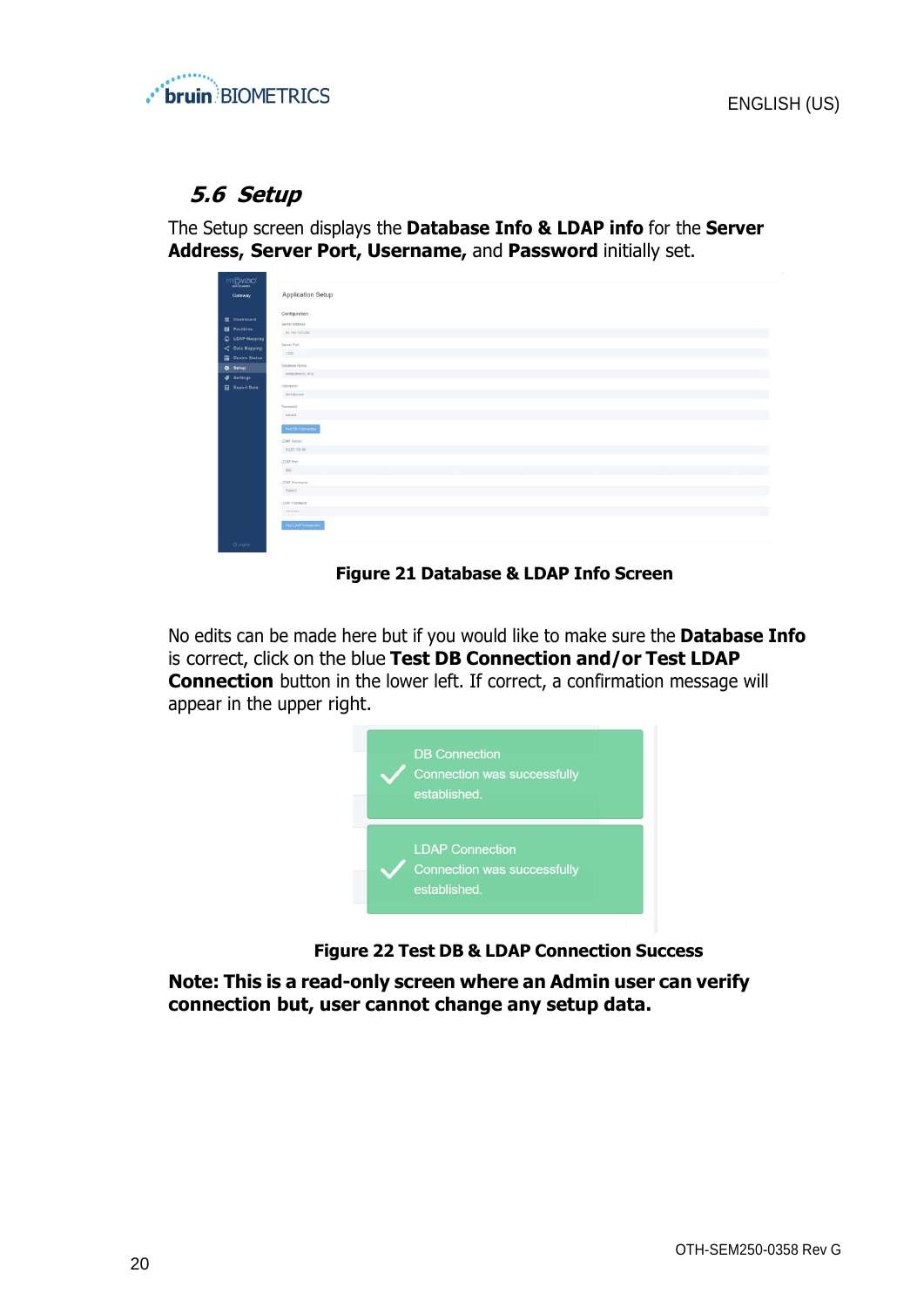

## <span id="page-19-0"></span>**5.6 Setup**

The Setup screen displays the **Database Info & LDAP info** for the **Server Address, Server Port, Username,** and **Password** initially set.

| PROVIZIO"                                                                                                                                   |                                                                                                                        |
|---------------------------------------------------------------------------------------------------------------------------------------------|------------------------------------------------------------------------------------------------------------------------|
| Gateway                                                                                                                                     | Application Setup                                                                                                      |
| <b>图 Dashboard</b><br><b>El</b> Facilities<br><b>Q</b> LDAP Mapping<br>$\leq$ Data Mapping<br>Device Status<br>O Setup<br><b>3</b> Settings | Configuration<br>Server Address<br>54.166.104.232<br>m 120<br>Server Port<br>1033<br>Database Name<br>sergateway, lang |
| <b>Export Data</b>                                                                                                                          | Unemann<br>dominizer<br>Password                                                                                       |
|                                                                                                                                             | $-0.01444444$<br>Text DS Contraction<br>LDAP Server                                                                    |
|                                                                                                                                             | 3.225.139.66<br>LDAP Port<br>$389\,$                                                                                   |
|                                                                                                                                             | LDAP Usemanne<br>TestAD                                                                                                |
|                                                                                                                                             | LEAP Password                                                                                                          |
| <b>OLogical</b>                                                                                                                             | Test LDAP Convection                                                                                                   |

#### **Figure 21 Database & LDAP Info Screen**

No edits can be made here but if you would like to make sure the **Database Info** is correct, click on the blue **Test DB Connection and/or Test LDAP Connection** button in the lower left. If correct, a confirmation message will appear in the upper right.



**Figure 22 Test DB & LDAP Connection Success**

**Note: This is a read-only screen where an Admin user can verify connection but, user cannot change any setup data.**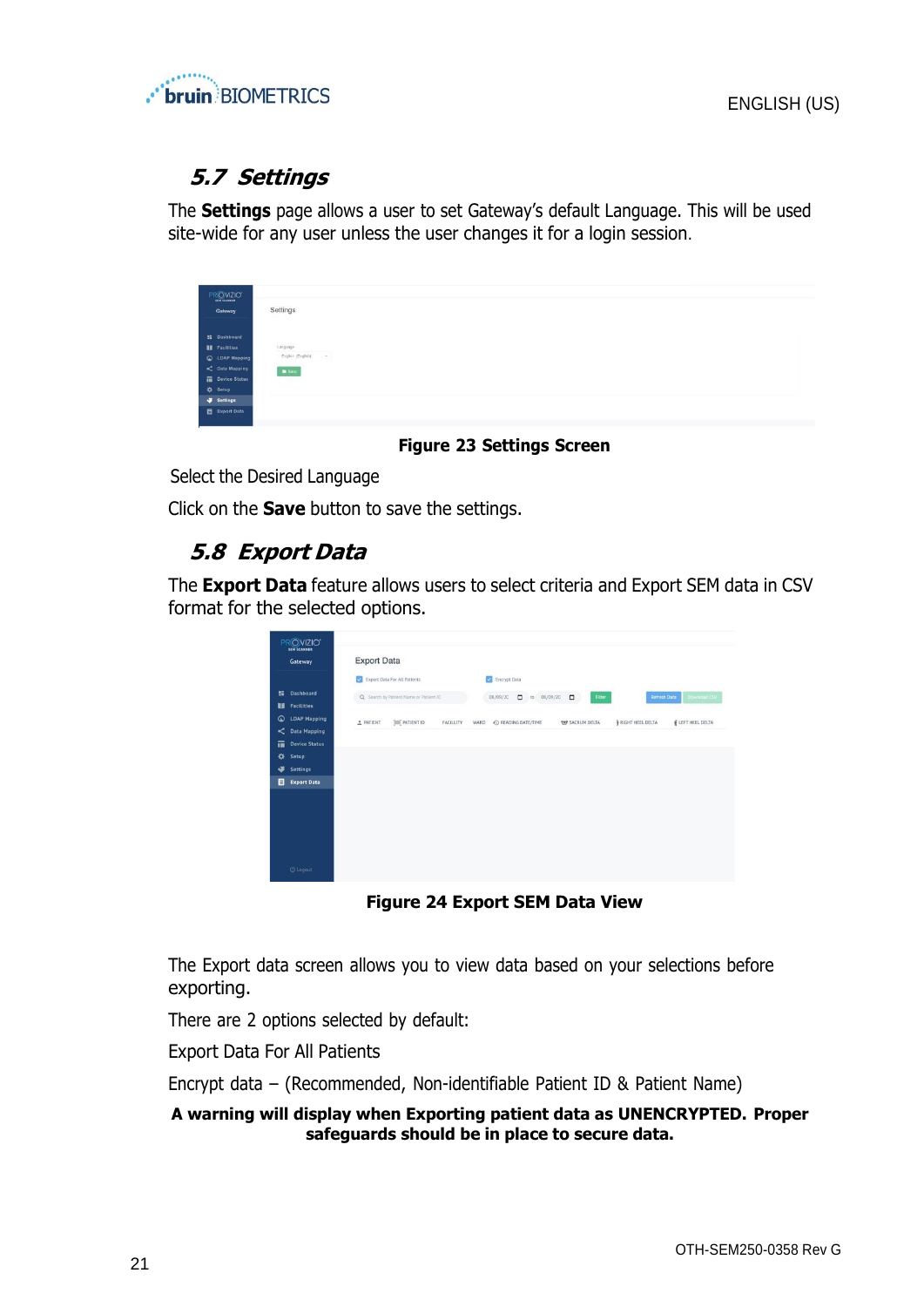

# <span id="page-20-0"></span>**5.7 Settings**

The **Settings** page allows a user to set Gateway's default Language. This will be used site-wide for any user unless the user changes it for a login session.

| PROVIZIO'<br>Gateway | Settings                                         |  |  |
|----------------------|--------------------------------------------------|--|--|
| <b>請 Dashboard</b>   |                                                  |  |  |
| <b>II</b> Facilities | Language                                         |  |  |
| C LDAP Mapping       | English (English)<br>$\mathcal{R}_{\mathcal{A}}$ |  |  |
| C Data Mapping       | $\blacksquare$ Save                              |  |  |
| Device Status        |                                                  |  |  |
| <b>O</b> Setup       |                                                  |  |  |
| Settings             |                                                  |  |  |
| Export Data          |                                                  |  |  |

**Figure 23 Settings Screen**

Select the Desired Language

Click on the **Save** button to save the settings.

# <span id="page-20-1"></span>**5.8 Export Data**

The **Export Data** feature allows users to select criteria and Export SEM data in CSV format for the selected options.

| PROVIZIO <sup>*</sup><br><b>SEM SCANNER</b><br>Gateway                                                                        | <b>Export Data</b>                                                                                                                                                                                               |
|-------------------------------------------------------------------------------------------------------------------------------|------------------------------------------------------------------------------------------------------------------------------------------------------------------------------------------------------------------|
| 肝<br><b>Dashboard</b><br>u<br><b>Facilities</b>                                                                               | V<br>$\overline{\mathbf{v}}$<br>Export Data For All Patients<br>Encrypt Data<br>Refresh Data<br>Q. Search by Patient Name or Patient ID<br>Download CSV<br>$\Box$<br>to 08/09/20<br>Filter<br>08/09/20<br>$\Box$ |
| $\circ$<br><b>LDAP Mapping</b><br>≺<br><b>Data Mapping</b><br>市<br><b>Device Status</b><br>⋫<br>Setup<br>٠<br><b>Settings</b> | E LEFT HEEL DELTA<br>RIGHT HEEL DELTA<br><b>JIII</b> PATIENT ID<br><b>2</b> PATIENT<br>C READING DATE/TIME<br><b>THE SACRUM DELTA</b><br>FACILLITY<br>WARD                                                       |
| 目<br><b>Export Data</b>                                                                                                       |                                                                                                                                                                                                                  |
| <b>U</b> Logout                                                                                                               |                                                                                                                                                                                                                  |

**Figure 24 Export SEM Data View**

The Export data screen allows you to view data based on your selections before exporting.

There are 2 options selected by default:

Export Data For All Patients

Encrypt data – (Recommended, Non-identifiable Patient ID & Patient Name)

#### **A warning will display when Exporting patient data as UNENCRYPTED. Proper safeguards should be in place to secure data.**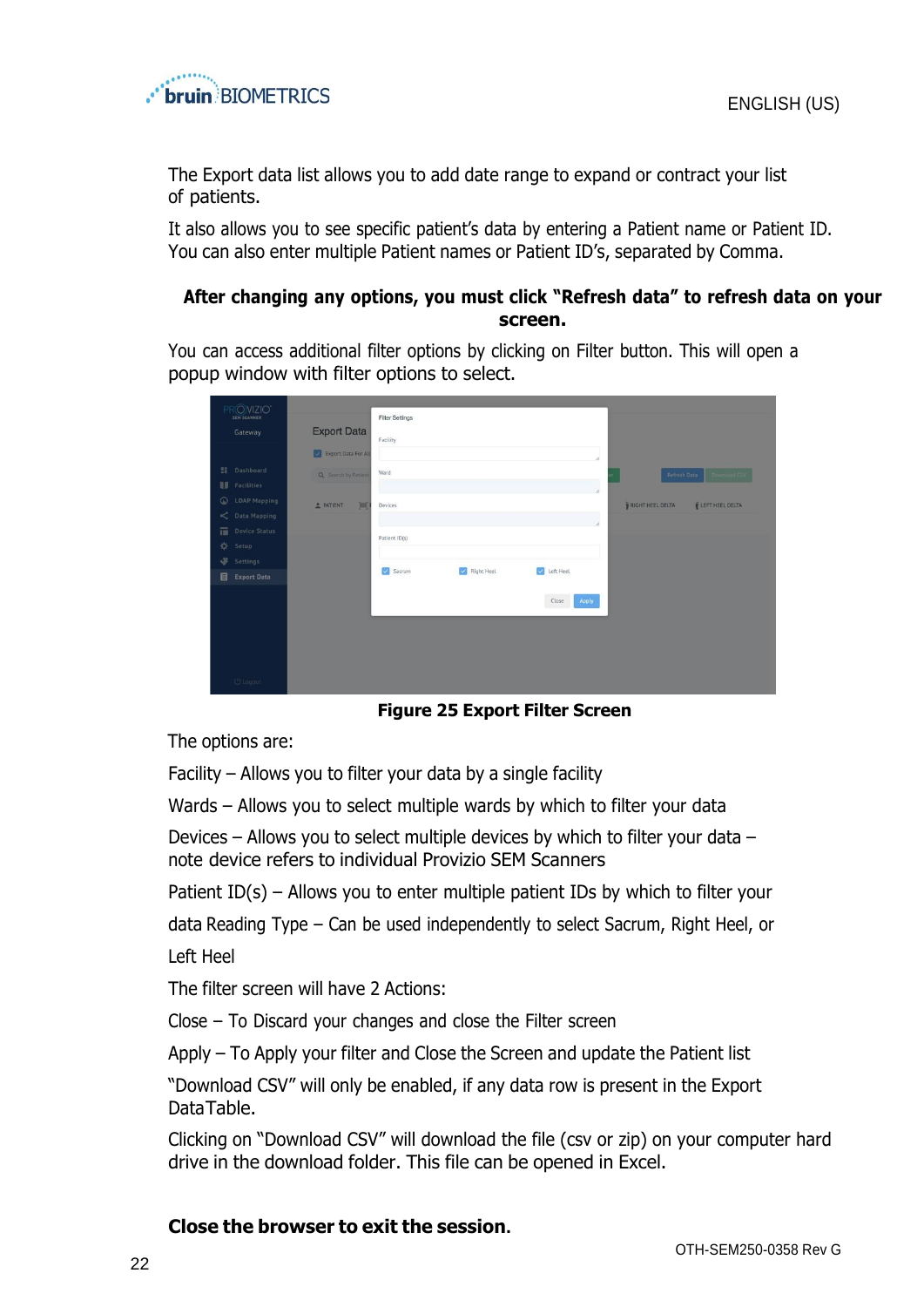

The Export data list allows you to add date range to expand or contract your list of patients.

It also allows you to see specific patient's data by entering a Patient name or Patient ID. You can also enter multiple Patient names or Patient ID's, separated by Comma.

#### **After changing any options, you must click "Refresh data" to refresh data on your screen.**

You can access additional filter options by clicking on Filter button. This will open a popup window with filter options to select.

| OVIZIO <sup>®</sup><br>SEM SCANNER                  |                        | <b>Filter Settings</b> |                             |                |                                     |
|-----------------------------------------------------|------------------------|------------------------|-----------------------------|----------------|-------------------------------------|
| Gateway                                             | <b>Export Data</b>     | Facility               |                             |                |                                     |
|                                                     | Export Data For All    |                        |                             |                |                                     |
| Dashboard<br>$\mathbb{R}^n$                         | Q Search by Patient    | Ward                   |                             |                | Refresh Data                        |
| <b>II</b> Facilities                                |                        |                        |                             |                |                                     |
| $\odot$<br>LDAP Mapping<br>$\leqslant$ Data Mapping | <b>PATIENT</b><br>[ma] | Devices                |                             |                | RIGHT HEEL DELTA<br>LEFT HEEL DELTA |
| 而<br>Device Status                                  |                        |                        |                             |                |                                     |
| 森<br>Setup                                          |                        | Patient ID(s)          |                             |                |                                     |
| ÷,<br>Settings                                      |                        | $\leq$ Sacrum          | $\triangleright$ Right Heel | Left Heel      |                                     |
| 目<br><b>Export Data</b>                             |                        |                        |                             |                |                                     |
|                                                     |                        |                        |                             | Apply<br>Close |                                     |
|                                                     |                        |                        |                             |                |                                     |
|                                                     |                        |                        |                             |                |                                     |
|                                                     |                        |                        |                             |                |                                     |
| <b>U</b> Logout                                     |                        |                        |                             |                |                                     |

**Figure 25 Export Filter Screen**

The options are:

Facility – Allows you to filter your data by a single facility

Wards – Allows you to select multiple wards by which to filter your data

Devices – Allows you to select multiple devices by which to filter your data – note device refers to individual Provizio SEM Scanners

Patient ID(s) – Allows you to enter multiple patient IDs by which to filter your

data Reading Type – Can be used independently to select Sacrum, Right Heel, or

Left Heel

The filter screen will have 2 Actions:

Close – To Discard your changes and close the Filter screen

Apply – To Apply your filter and Close the Screen and update the Patient list

"Download CSV" will only be enabled, if any data row is present in the Export DataTable.

Clicking on "Download CSV" will download the file (csv or zip) on your computer hard drive in the download folder. This file can be opened in Excel.

#### **Close the browser to exit the session.**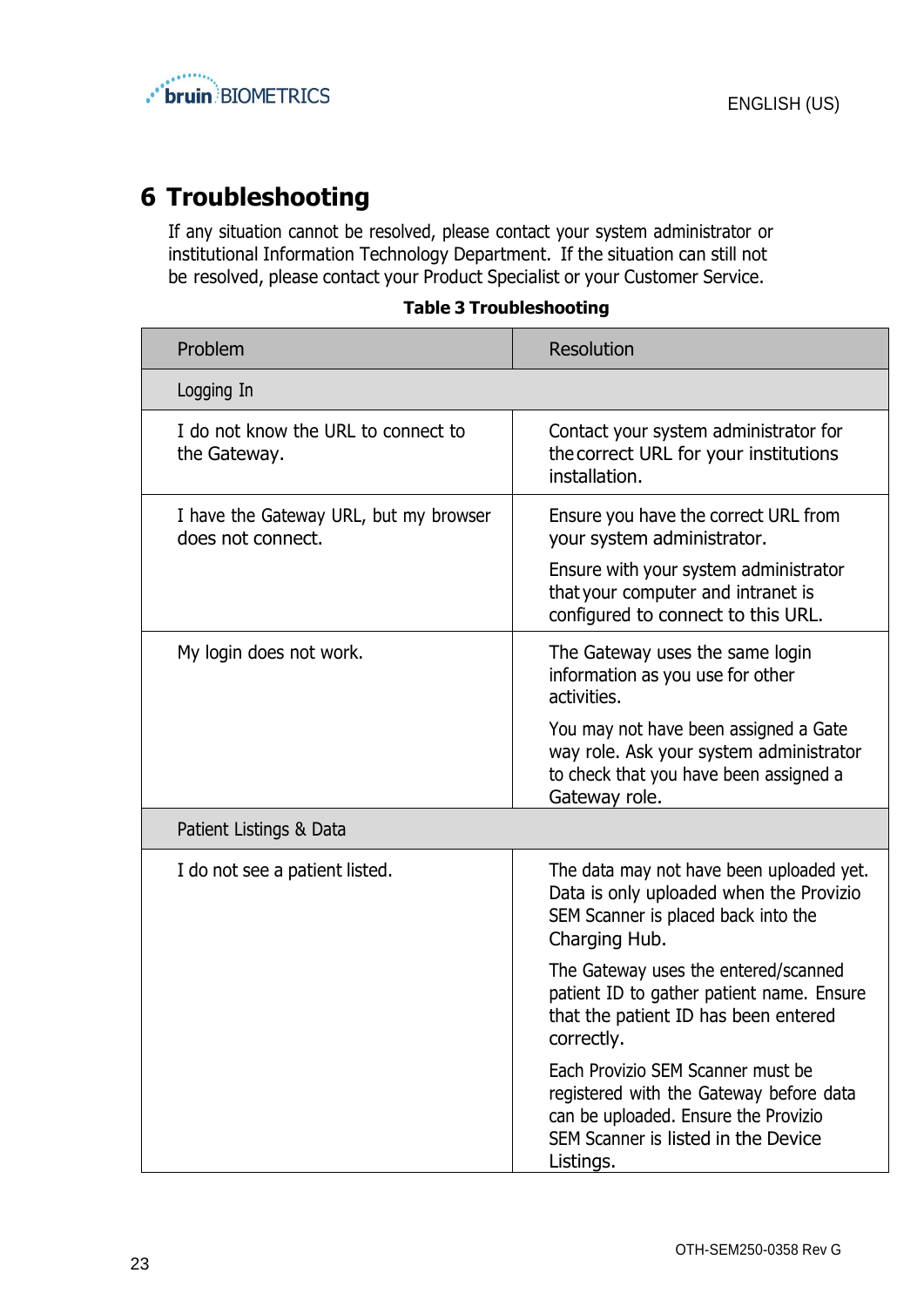

# <span id="page-22-0"></span>**6 Troubleshooting**

If any situation cannot be resolved, please contact your system administrator or institutional Information Technology Department. If the situation can still not be resolved, please contact your Product Specialist or your Customer Service.

| <b>Table 3 Troubleshooting</b> |  |  |  |  |
|--------------------------------|--|--|--|--|
|--------------------------------|--|--|--|--|

| Problem                                                     | <b>Resolution</b>                                                                                                                                                        |
|-------------------------------------------------------------|--------------------------------------------------------------------------------------------------------------------------------------------------------------------------|
| Logging In                                                  |                                                                                                                                                                          |
| I do not know the URL to connect to<br>the Gateway.         | Contact your system administrator for<br>the correct URL for your institutions<br>installation.                                                                          |
| I have the Gateway URL, but my browser<br>does not connect. | Ensure you have the correct URL from<br>your system administrator.                                                                                                       |
|                                                             | Ensure with your system administrator<br>that your computer and intranet is<br>configured to connect to this URL.                                                        |
| My login does not work.                                     | The Gateway uses the same login<br>information as you use for other<br>activities.                                                                                       |
|                                                             | You may not have been assigned a Gate<br>way role. Ask your system administrator<br>to check that you have been assigned a<br>Gateway role.                              |
| Patient Listings & Data                                     |                                                                                                                                                                          |
| I do not see a patient listed.                              | The data may not have been uploaded yet.<br>Data is only uploaded when the Provizio<br>SEM Scanner is placed back into the<br>Charging Hub.                              |
|                                                             | The Gateway uses the entered/scanned<br>patient ID to gather patient name. Ensure<br>that the patient ID has been entered<br>correctly.                                  |
|                                                             | Each Provizio SEM Scanner must be<br>registered with the Gateway before data<br>can be uploaded. Ensure the Provizio<br>SEM Scanner is listed in the Device<br>Listings. |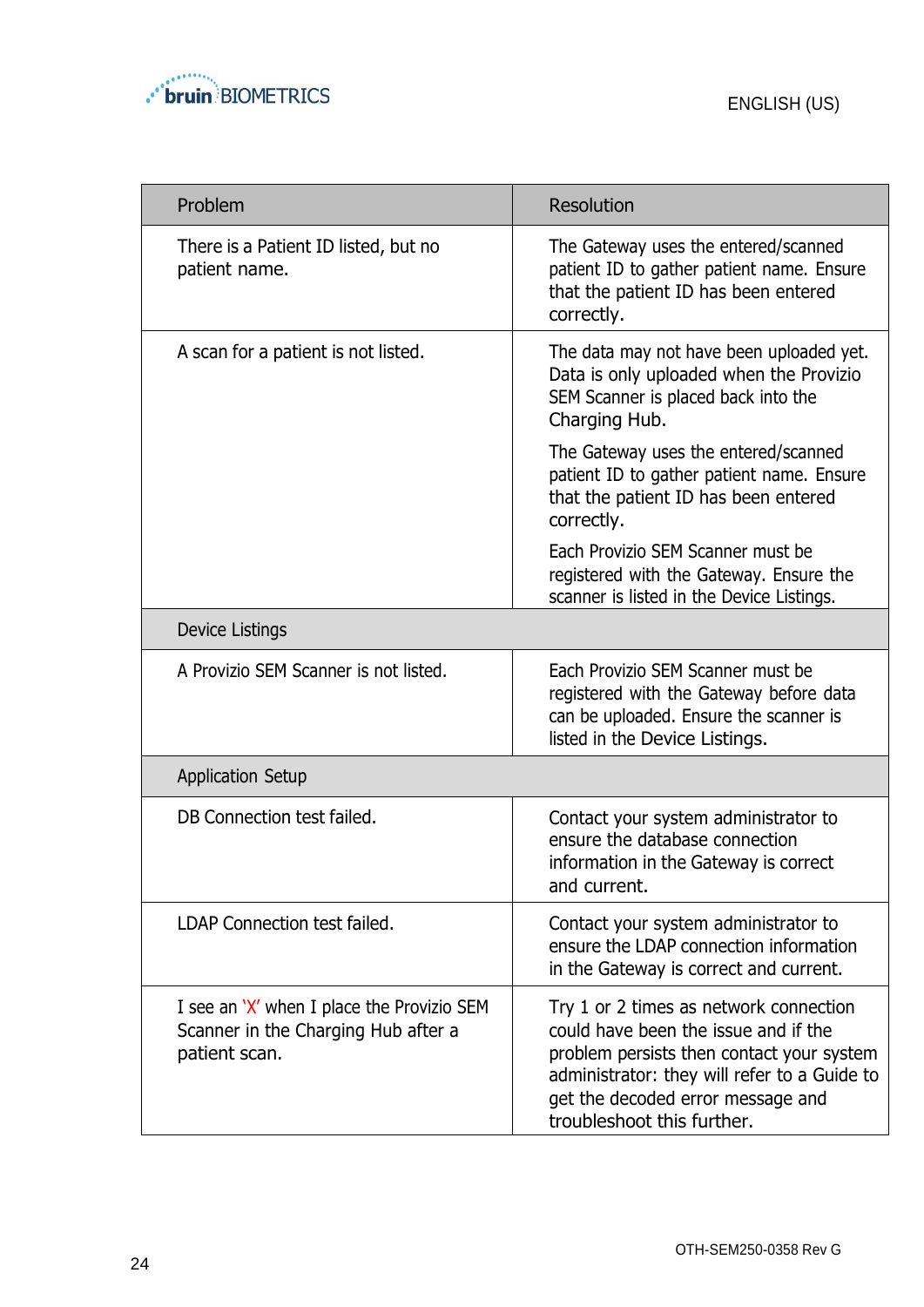

| Problem                                                                                            | <b>Resolution</b>                                                                                                                                                                                                                              |
|----------------------------------------------------------------------------------------------------|------------------------------------------------------------------------------------------------------------------------------------------------------------------------------------------------------------------------------------------------|
| There is a Patient ID listed, but no<br>patient name.                                              | The Gateway uses the entered/scanned<br>patient ID to gather patient name. Ensure<br>that the patient ID has been entered<br>correctly.                                                                                                        |
| A scan for a patient is not listed.                                                                | The data may not have been uploaded yet.<br>Data is only uploaded when the Provizio<br>SEM Scanner is placed back into the<br>Charging Hub.                                                                                                    |
|                                                                                                    | The Gateway uses the entered/scanned<br>patient ID to gather patient name. Ensure<br>that the patient ID has been entered<br>correctly.                                                                                                        |
|                                                                                                    | Each Provizio SEM Scanner must be<br>registered with the Gateway. Ensure the<br>scanner is listed in the Device Listings.                                                                                                                      |
| Device Listings                                                                                    |                                                                                                                                                                                                                                                |
| A Provizio SEM Scanner is not listed.                                                              | Each Provizio SEM Scanner must be<br>registered with the Gateway before data<br>can be uploaded. Ensure the scanner is<br>listed in the Device Listings.                                                                                       |
| <b>Application Setup</b>                                                                           |                                                                                                                                                                                                                                                |
| DB Connection test failed.                                                                         | Contact your system administrator to<br>ensure the database connection<br>information in the Gateway is correct<br>and current.                                                                                                                |
| LDAP Connection test failed.                                                                       | Contact your system administrator to<br>ensure the LDAP connection information<br>in the Gateway is correct and current.                                                                                                                       |
| I see an 'X' when I place the Provizio SEM<br>Scanner in the Charging Hub after a<br>patient scan. | Try 1 or 2 times as network connection<br>could have been the issue and if the<br>problem persists then contact your system<br>administrator: they will refer to a Guide to<br>get the decoded error message and<br>troubleshoot this further. |